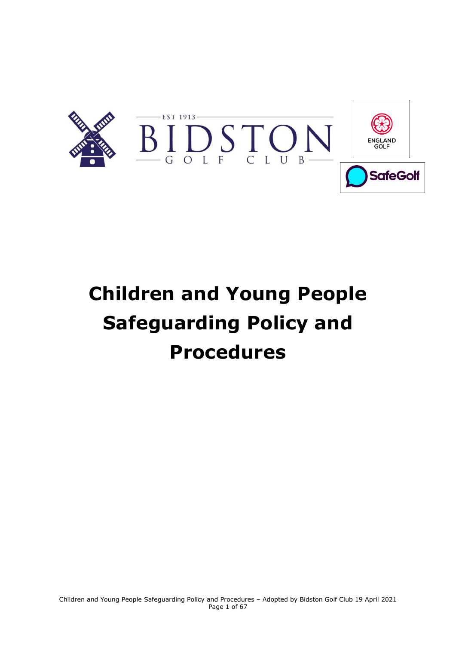

# **Children and Young People Safeguarding Policy and Procedures**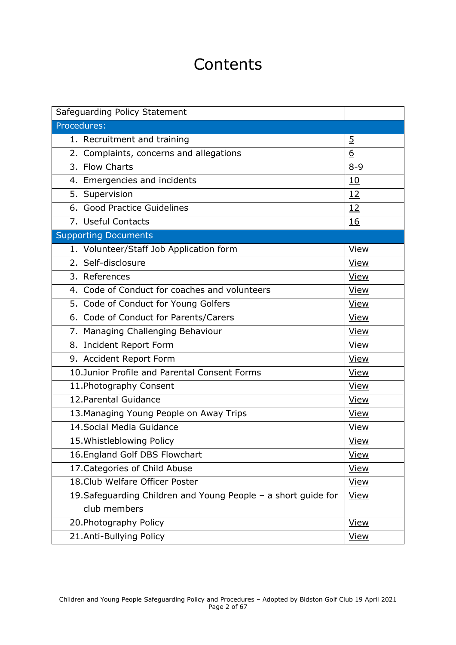# **Contents**

| Safeguarding Policy Statement                                  |                |
|----------------------------------------------------------------|----------------|
| Procedures:                                                    |                |
| 1. Recruitment and training                                    | $\overline{5}$ |
| 2. Complaints, concerns and allegations                        | 6              |
| 3. Flow Charts                                                 | $8 - 9$        |
| 4. Emergencies and incidents                                   | 10             |
| 5. Supervision                                                 | 12             |
| 6. Good Practice Guidelines                                    | 12             |
| 7. Useful Contacts                                             | <u>16</u>      |
| <b>Supporting Documents</b>                                    |                |
| 1. Volunteer/Staff Job Application form                        | View           |
| 2. Self-disclosure                                             | View           |
| $\overline{3}$ . References                                    | View           |
| 4. Code of Conduct for coaches and volunteers                  | View           |
| 5. Code of Conduct for Young Golfers                           | View           |
| 6. Code of Conduct for Parents/Carers                          | View           |
| 7. Managing Challenging Behaviour                              | <b>View</b>    |
| 8. Incident Report Form                                        | <b>View</b>    |
| 9. Accident Report Form                                        | <b>View</b>    |
| 10.Junior Profile and Parental Consent Forms                   | View           |
| 11. Photography Consent                                        | <b>View</b>    |
| 12. Parental Guidance                                          | <b>View</b>    |
| 13. Managing Young People on Away Trips                        | <u>View</u>    |
| 14. Social Media Guidance                                      | <b>View</b>    |
| 15. Whistleblowing Policy                                      | <u>View</u>    |
| 16. England Golf DBS Flowchart                                 | <b>View</b>    |
| 17. Categories of Child Abuse                                  | <b>View</b>    |
| 18. Club Welfare Officer Poster                                | <u>View</u>    |
| 19. Safeguarding Children and Young People - a short guide for | <b>View</b>    |
| club members                                                   |                |
| 20. Photography Policy                                         | View           |
| 21.Anti-Bullying Policy                                        | <b>View</b>    |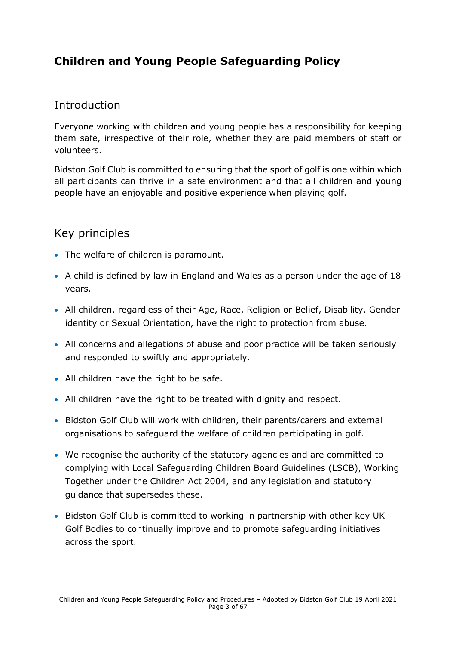# **Children and Young People Safeguarding Policy**

# **Introduction**

Everyone working with children and young people has a responsibility for keeping them safe, irrespective of their role, whether they are paid members of staff or volunteers.

Bidston Golf Club is committed to ensuring that the sport of golf is one within which all participants can thrive in a safe environment and that all children and young people have an enjoyable and positive experience when playing golf.

# Key principles

- The welfare of children is paramount.
- A child is defined by law in England and Wales as a person under the age of 18 years.
- All children, regardless of their Age, Race, Religion or Belief, Disability, Gender identity or Sexual Orientation, have the right to protection from abuse.
- All concerns and allegations of abuse and poor practice will be taken seriously and responded to swiftly and appropriately.
- All children have the right to be safe.
- All children have the right to be treated with dignity and respect.
- Bidston Golf Club will work with children, their parents/carers and external organisations to safeguard the welfare of children participating in golf.
- We recognise the authority of the statutory agencies and are committed to complying with Local Safeguarding Children Board Guidelines (LSCB), Working Together under the Children Act 2004, and any legislation and statutory guidance that supersedes these.
- Bidston Golf Club is committed to working in partnership with other key UK Golf Bodies to continually improve and to promote safeguarding initiatives across the sport.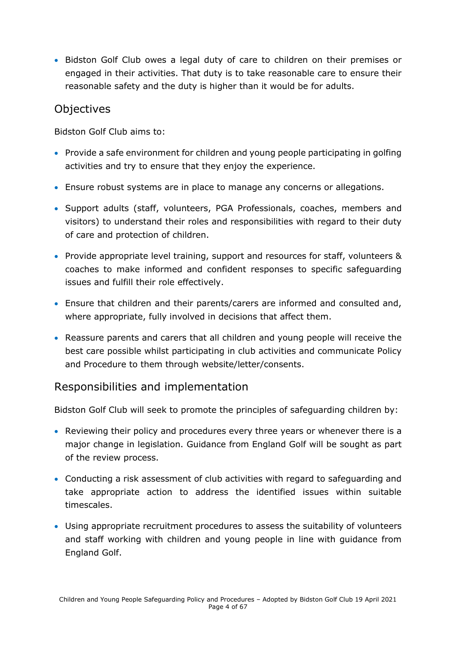• Bidston Golf Club owes a legal duty of care to children on their premises or engaged in their activities. That duty is to take reasonable care to ensure their reasonable safety and the duty is higher than it would be for adults.

# **Objectives**

Bidston Golf Club aims to:

- Provide a safe environment for children and young people participating in golfing activities and try to ensure that they enjoy the experience.
- Ensure robust systems are in place to manage any concerns or allegations.
- Support adults (staff, volunteers, PGA Professionals, coaches, members and visitors) to understand their roles and responsibilities with regard to their duty of care and protection of children.
- Provide appropriate level training, support and resources for staff, volunteers & coaches to make informed and confident responses to specific safeguarding issues and fulfill their role effectively.
- Ensure that children and their parents/carers are informed and consulted and, where appropriate, fully involved in decisions that affect them.
- Reassure parents and carers that all children and young people will receive the best care possible whilst participating in club activities and communicate Policy and Procedure to them through website/letter/consents.

# Responsibilities and implementation

Bidston Golf Club will seek to promote the principles of safeguarding children by:

- Reviewing their policy and procedures every three years or whenever there is a major change in legislation. Guidance from England Golf will be sought as part of the review process.
- Conducting a risk assessment of club activities with regard to safeguarding and take appropriate action to address the identified issues within suitable timescales.
- Using appropriate recruitment procedures to assess the suitability of volunteers and staff working with children and young people in line with guidance from England Golf.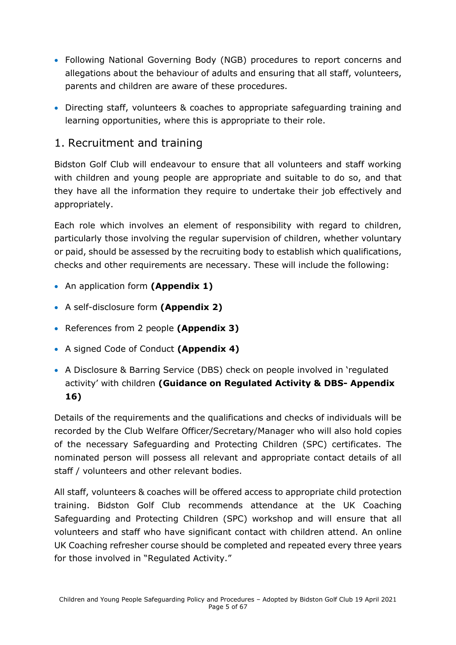- Following National Governing Body (NGB) procedures to report concerns and allegations about the behaviour of adults and ensuring that all staff, volunteers, parents and children are aware of these procedures.
- Directing staff, volunteers & coaches to appropriate safeguarding training and learning opportunities, where this is appropriate to their role.

# <span id="page-4-0"></span>1. Recruitment and training

Bidston Golf Club will endeavour to ensure that all volunteers and staff working with children and young people are appropriate and suitable to do so, and that they have all the information they require to undertake their job effectively and appropriately.

Each role which involves an element of responsibility with regard to children, particularly those involving the regular supervision of children, whether voluntary or paid, should be assessed by the recruiting body to establish which qualifications, checks and other requirements are necessary. These will include the following:

- An application form **(Appendix 1)**
- A self-disclosure form **(Appendix 2)**
- References from 2 people **(Appendix 3)**
- A signed Code of Conduct **(Appendix 4)**
- A Disclosure & Barring Service (DBS) check on people involved in 'regulated activity' with children **(Guidance on Regulated Activity & DBS- Appendix 16)**

Details of the requirements and the qualifications and checks of individuals will be recorded by the Club Welfare Officer/Secretary/Manager who will also hold copies of the necessary Safeguarding and Protecting Children (SPC) certificates. The nominated person will possess all relevant and appropriate contact details of all staff / volunteers and other relevant bodies.

All staff, volunteers & coaches will be offered access to appropriate child protection training. Bidston Golf Club recommends attendance at the UK Coaching Safeguarding and Protecting Children (SPC) workshop and will ensure that all volunteers and staff who have significant contact with children attend. An online UK Coaching refresher course should be completed and repeated every three years for those involved in "Regulated Activity."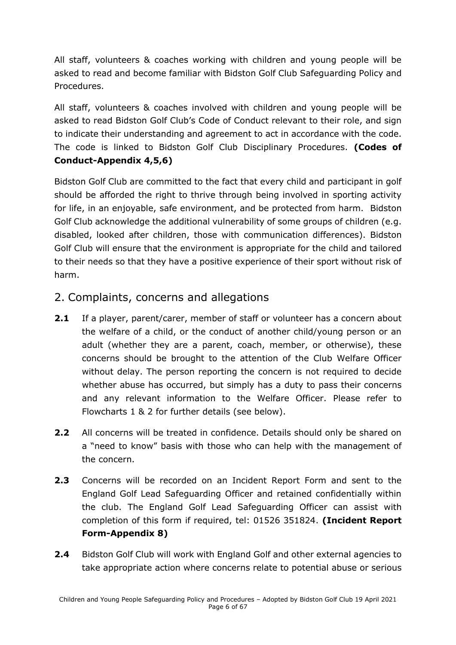All staff, volunteers & coaches working with children and young people will be asked to read and become familiar with Bidston Golf Club Safeguarding Policy and Procedures.

All staff, volunteers & coaches involved with children and young people will be asked to read Bidston Golf Club's Code of Conduct relevant to their role, and sign to indicate their understanding and agreement to act in accordance with the code. The code is linked to Bidston Golf Club Disciplinary Procedures. **(Codes of Conduct-Appendix 4,5,6)**

Bidston Golf Club are committed to the fact that every child and participant in golf should be afforded the right to thrive through being involved in sporting activity for life, in an enjoyable, safe environment, and be protected from harm. Bidston Golf Club acknowledge the additional vulnerability of some groups of children (e.g. disabled, looked after children, those with communication differences). Bidston Golf Club will ensure that the environment is appropriate for the child and tailored to their needs so that they have a positive experience of their sport without risk of harm.

# <span id="page-5-0"></span>2. Complaints, concerns and allegations

- **2.1** If a player, parent/carer, member of staff or volunteer has a concern about the welfare of a child, or the conduct of another child/young person or an adult (whether they are a parent, coach, member, or otherwise), these concerns should be brought to the attention of the Club Welfare Officer without delay. The person reporting the concern is not required to decide whether abuse has occurred, but simply has a duty to pass their concerns and any relevant information to the Welfare Officer. Please refer to Flowcharts 1 & 2 for further details (see below).
- **2.2** All concerns will be treated in confidence. Details should only be shared on a "need to know" basis with those who can help with the management of the concern.
- **2.3** Concerns will be recorded on an Incident Report Form and sent to the England Golf Lead Safeguarding Officer and retained confidentially within the club. The England Golf Lead Safeguarding Officer can assist with completion of this form if required, tel: 01526 351824. **(Incident Report Form-Appendix 8)**
- **2.4** Bidston Golf Club will work with England Golf and other external agencies to take appropriate action where concerns relate to potential abuse or serious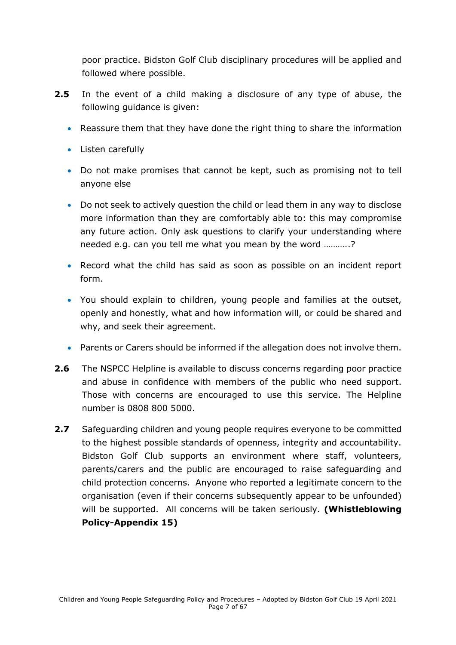poor practice. Bidston Golf Club disciplinary procedures will be applied and followed where possible.

- **2.5** In the event of a child making a disclosure of any type of abuse, the following guidance is given:
	- Reassure them that they have done the right thing to share the information
	- Listen carefully
	- Do not make promises that cannot be kept, such as promising not to tell anyone else
	- Do not seek to actively question the child or lead them in any way to disclose more information than they are comfortably able to: this may compromise any future action. Only ask questions to clarify your understanding where needed e.g. can you tell me what you mean by the word ………..?
	- Record what the child has said as soon as possible on an incident report form.
	- You should explain to children, young people and families at the outset, openly and honestly, what and how information will, or could be shared and why, and seek their agreement.
	- Parents or Carers should be informed if the allegation does not involve them.
- **2.6** The NSPCC Helpline is available to discuss concerns regarding poor practice and abuse in confidence with members of the public who need support. Those with concerns are encouraged to use this service. The Helpline number is 0808 800 5000.
- **2.7** Safeguarding children and young people requires everyone to be committed to the highest possible standards of openness, integrity and accountability. Bidston Golf Club supports an environment where staff, volunteers, parents/carers and the public are encouraged to raise safeguarding and child protection concerns. Anyone who reported a legitimate concern to the organisation (even if their concerns subsequently appear to be unfounded) will be supported. All concerns will be taken seriously. **(Whistleblowing Policy-Appendix 15)**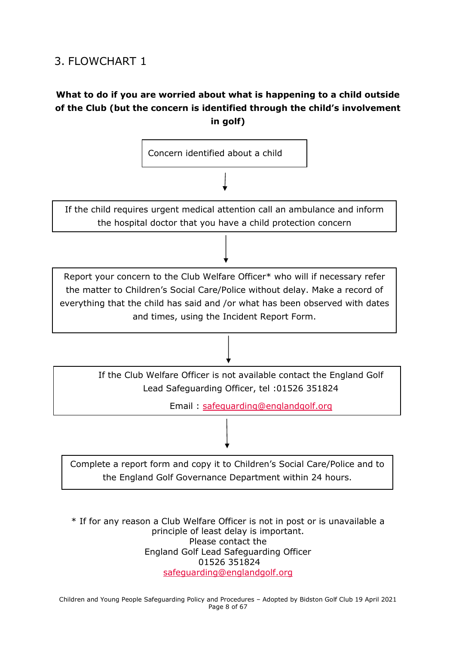# <span id="page-7-0"></span>3. FLOWCHART 1

# **What to do if you are worried about what is happening to a child outside of the Club (but the concern is identified through the child's involvement in golf)**



\* If for any reason a Club Welfare Officer is not in post or is unavailable a principle of least delay is important. Please contact the England Golf Lead Safeguarding Officer 01526 351824 [safeguarding@englandgolf.org](mailto:safeguarding@englandgolf.org)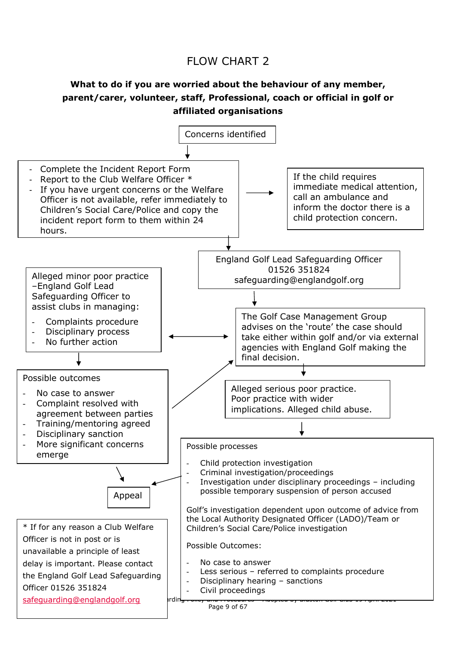# FLOW CHART 2

# **What to do if you are worried about the behaviour of any member, parent/carer, volunteer, staff, Professional, coach or official in golf or affiliated organisations**

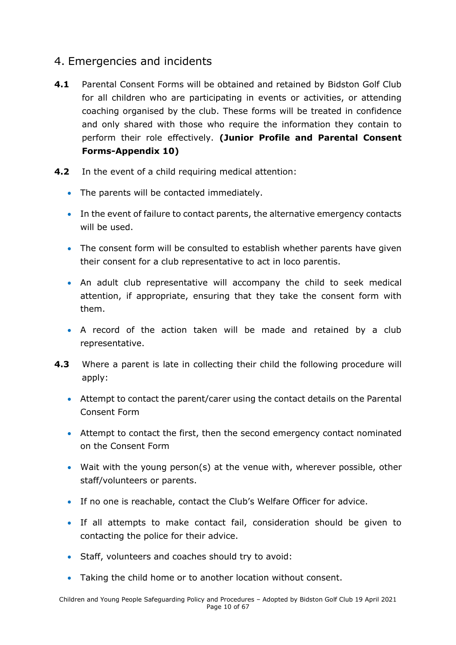# <span id="page-9-0"></span>4. Emergencies and incidents

- **4.1** Parental Consent Forms will be obtained and retained by Bidston Golf Club for all children who are participating in events or activities, or attending coaching organised by the club. These forms will be treated in confidence and only shared with those who require the information they contain to perform their role effectively. **(Junior Profile and Parental Consent Forms-Appendix 10)**
- **4.2** In the event of a child requiring medical attention:
	- The parents will be contacted immediately.
	- In the event of failure to contact parents, the alternative emergency contacts will be used.
	- The consent form will be consulted to establish whether parents have given their consent for a club representative to act in loco parentis.
	- An adult club representative will accompany the child to seek medical attention, if appropriate, ensuring that they take the consent form with them.
	- A record of the action taken will be made and retained by a club representative.
- **4.3** Where a parent is late in collecting their child the following procedure will apply:
	- Attempt to contact the parent/carer using the contact details on the Parental Consent Form
	- Attempt to contact the first, then the second emergency contact nominated on the Consent Form
	- Wait with the young person(s) at the venue with, wherever possible, other staff/volunteers or parents.
	- If no one is reachable, contact the Club's Welfare Officer for advice.
	- If all attempts to make contact fail, consideration should be given to contacting the police for their advice.
	- Staff, volunteers and coaches should try to avoid:
	- Taking the child home or to another location without consent.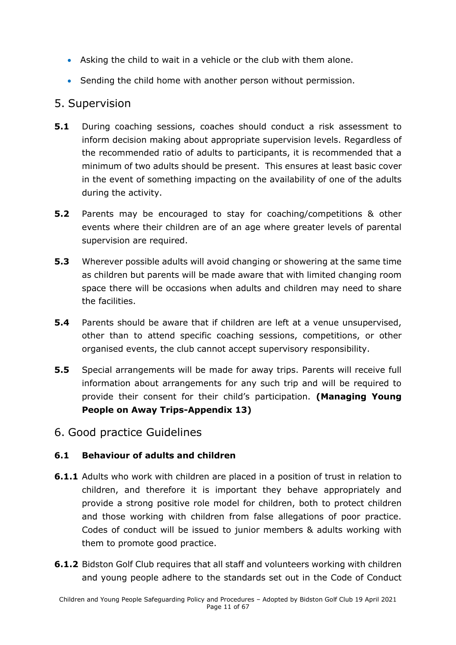- Asking the child to wait in a vehicle or the club with them alone.
- Sending the child home with another person without permission.

# <span id="page-10-0"></span>5. Supervision

- **5.1** During coaching sessions, coaches should conduct a risk assessment to inform decision making about appropriate supervision levels. Regardless of the recommended ratio of adults to participants, it is recommended that a minimum of two adults should be present. This ensures at least basic cover in the event of something impacting on the availability of one of the adults during the activity.
- **5.2** Parents may be encouraged to stay for coaching/competitions & other events where their children are of an age where greater levels of parental supervision are required.
- **5.3** Wherever possible adults will avoid changing or showering at the same time as children but parents will be made aware that with limited changing room space there will be occasions when adults and children may need to share the facilities.
- **5.4** Parents should be aware that if children are left at a venue unsupervised, other than to attend specific coaching sessions, competitions, or other organised events, the club cannot accept supervisory responsibility.
- **5.5** Special arrangements will be made for away trips. Parents will receive full information about arrangements for any such trip and will be required to provide their consent for their child's participation. **(Managing Young People on Away Trips-Appendix 13)**
- <span id="page-10-1"></span>6. Good practice Guidelines

### **6.1 Behaviour of adults and children**

- **6.1.1** Adults who work with children are placed in a position of trust in relation to children, and therefore it is important they behave appropriately and provide a strong positive role model for children, both to protect children and those working with children from false allegations of poor practice. Codes of conduct will be issued to junior members & adults working with them to promote good practice.
- **6.1.2** Bidston Golf Club requires that all staff and volunteers working with children and young people adhere to the standards set out in the Code of Conduct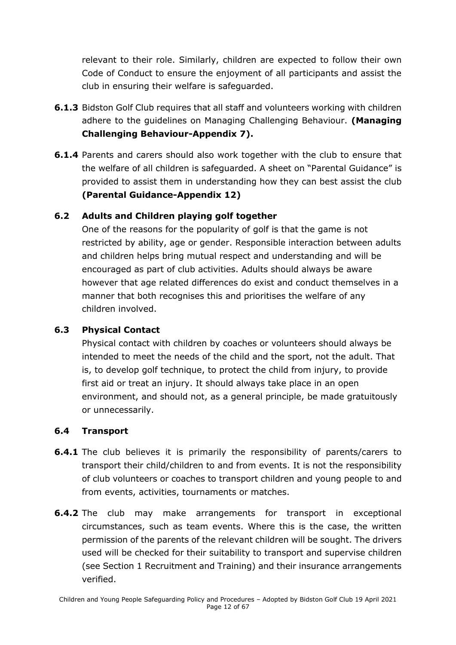relevant to their role. Similarly, children are expected to follow their own Code of Conduct to ensure the enjoyment of all participants and assist the club in ensuring their welfare is safeguarded.

- **6.1.3** Bidston Golf Club requires that all staff and volunteers working with children adhere to the guidelines on Managing Challenging Behaviour. **(Managing Challenging Behaviour-Appendix 7).**
- **6.1.4** Parents and carers should also work together with the club to ensure that the welfare of all children is safeguarded. A sheet on "Parental Guidance" is provided to assist them in understanding how they can best assist the club **(Parental Guidance-Appendix 12)**

### **6.2 Adults and Children playing golf together**

One of the reasons for the popularity of golf is that the game is not restricted by ability, age or gender. Responsible interaction between adults and children helps bring mutual respect and understanding and will be encouraged as part of club activities. Adults should always be aware however that age related differences do exist and conduct themselves in a manner that both recognises this and prioritises the welfare of any children involved.

# **6.3 Physical Contact**

Physical contact with children by coaches or volunteers should always be intended to meet the needs of the child and the sport, not the adult. That is, to develop golf technique, to protect the child from injury, to provide first aid or treat an injury. It should always take place in an open environment, and should not, as a general principle, be made gratuitously or unnecessarily.

# **6.4 Transport**

- **6.4.1** The club believes it is primarily the responsibility of parents/carers to transport their child/children to and from events. It is not the responsibility of club volunteers or coaches to transport children and young people to and from events, activities, tournaments or matches.
- **6.4.2** The club may make arrangements for transport in exceptional circumstances, such as team events. Where this is the case, the written permission of the parents of the relevant children will be sought. The drivers used will be checked for their suitability to transport and supervise children (see Section 1 Recruitment and Training) and their insurance arrangements verified.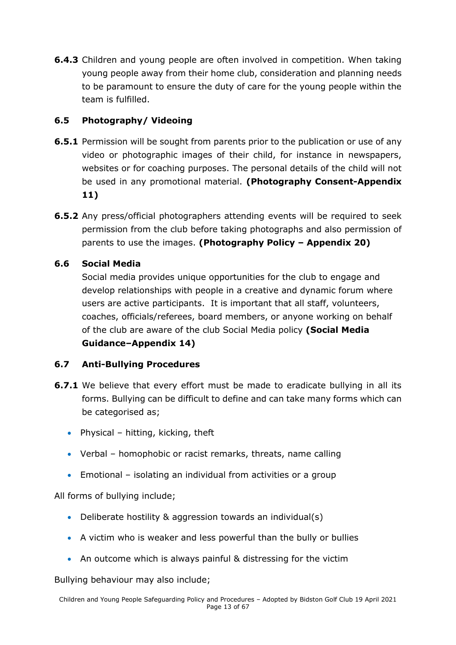**6.4.3** Children and young people are often involved in competition. When taking young people away from their home club, consideration and planning needs to be paramount to ensure the duty of care for the young people within the team is fulfilled.

# **6.5 Photography/ Videoing**

- **6.5.1** Permission will be sought from parents prior to the publication or use of any video or photographic images of their child, for instance in newspapers, websites or for coaching purposes. The personal details of the child will not be used in any promotional material. **(Photography Consent-Appendix 11)**
- **6.5.2** Any press/official photographers attending events will be required to seek permission from the club before taking photographs and also permission of parents to use the images. **(Photography Policy – Appendix 20)**

# **6.6 Social Media**

Social media provides unique opportunities for the club to engage and develop relationships with people in a creative and dynamic forum where users are active participants. It is important that all staff, volunteers, coaches, officials/referees, board members, or anyone working on behalf of the club are aware of the club Social Media policy **(Social Media Guidance–Appendix 14)**

### **6.7 Anti-Bullying Procedures**

- **6.7.1** We believe that every effort must be made to eradicate bullying in all its forms. Bullying can be difficult to define and can take many forms which can be categorised as;
	- Physical hitting, kicking, theft
	- Verbal homophobic or racist remarks, threats, name calling
	- Emotional isolating an individual from activities or a group

All forms of bullying include;

- Deliberate hostility & aggression towards an individual(s)
- A victim who is weaker and less powerful than the bully or bullies
- An outcome which is always painful & distressing for the victim

Bullying behaviour may also include;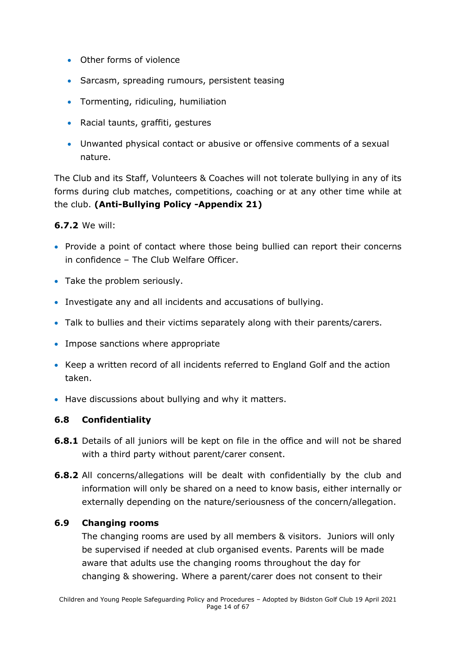- Other forms of violence
- Sarcasm, spreading rumours, persistent teasing
- Tormenting, ridiculing, humiliation
- Racial taunts, graffiti, gestures
- Unwanted physical contact or abusive or offensive comments of a sexual nature.

The Club and its Staff, Volunteers & Coaches will not tolerate bullying in any of its forms during club matches, competitions, coaching or at any other time while at the club. **(Anti-Bullying Policy -Appendix 21)**

#### **6.7.2** We will:

- Provide a point of contact where those being bullied can report their concerns in confidence – The Club Welfare Officer.
- Take the problem seriously.
- Investigate any and all incidents and accusations of bullying.
- Talk to bullies and their victims separately along with their parents/carers.
- Impose sanctions where appropriate
- Keep a written record of all incidents referred to England Golf and the action taken.
- Have discussions about bullying and why it matters.

#### **6.8 Confidentiality**

- **6.8.1** Details of all juniors will be kept on file in the office and will not be shared with a third party without parent/carer consent.
- **6.8.2** All concerns/allegations will be dealt with confidentially by the club and information will only be shared on a need to know basis, either internally or externally depending on the nature/seriousness of the concern/allegation.

#### **6.9 Changing rooms**

The changing rooms are used by all members & visitors. Juniors will only be supervised if needed at club organised events. Parents will be made aware that adults use the changing rooms throughout the day for changing & showering. Where a parent/carer does not consent to their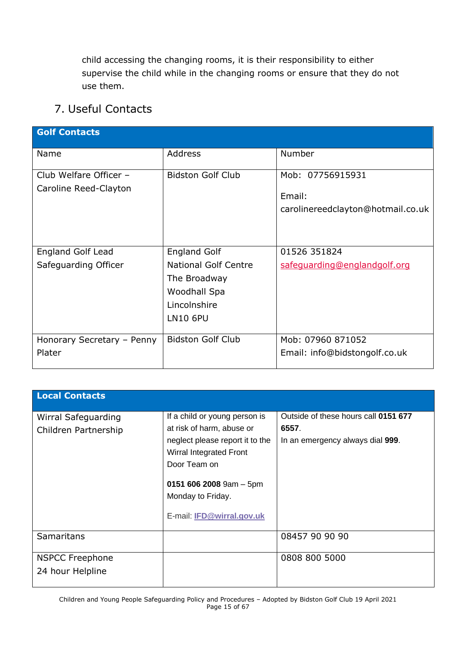child accessing the changing rooms, it is their responsibility to either supervise the child while in the changing rooms or ensure that they do not use them.

# <span id="page-14-0"></span>7. Useful Contacts

| <b>Golf Contacts</b>                            |                                                                                                                       |                                                                 |
|-------------------------------------------------|-----------------------------------------------------------------------------------------------------------------------|-----------------------------------------------------------------|
| Name                                            | <b>Address</b>                                                                                                        | Number                                                          |
| Club Welfare Officer -<br>Caroline Reed-Clayton | <b>Bidston Golf Club</b>                                                                                              | Mob: 07756915931<br>Email:<br>carolinereedclayton@hotmail.co.uk |
| England Golf Lead<br>Safeguarding Officer       | <b>England Golf</b><br><b>National Golf Centre</b><br>The Broadway<br>Woodhall Spa<br>Lincolnshire<br><b>LN10 6PU</b> | 01526 351824<br>safequarding@englandgolf.org                    |
| Honorary Secretary - Penny<br>Plater            | <b>Bidston Golf Club</b>                                                                                              | Mob: 07960 871052<br>Email: info@bidstongolf.co.uk              |

| <b>Local Contacts</b>                       |                                                                                                                                                                                                                                |                                                                                   |
|---------------------------------------------|--------------------------------------------------------------------------------------------------------------------------------------------------------------------------------------------------------------------------------|-----------------------------------------------------------------------------------|
| Wirral Safeguarding<br>Children Partnership | If a child or young person is<br>at risk of harm, abuse or<br>neglect please report it to the<br>Wirral Integrated Front<br>Door Team on<br>0151 606 2008 9am $-5$ pm<br>Monday to Friday.<br>E-mail: <b>IFD@wirral.gov.uk</b> | Outside of these hours call 0151 677<br>6557.<br>In an emergency always dial 999. |
| <b>Samaritans</b>                           |                                                                                                                                                                                                                                | 08457 90 90 90                                                                    |
| <b>NSPCC Freephone</b><br>24 hour Helpline  |                                                                                                                                                                                                                                | 0808 800 5000                                                                     |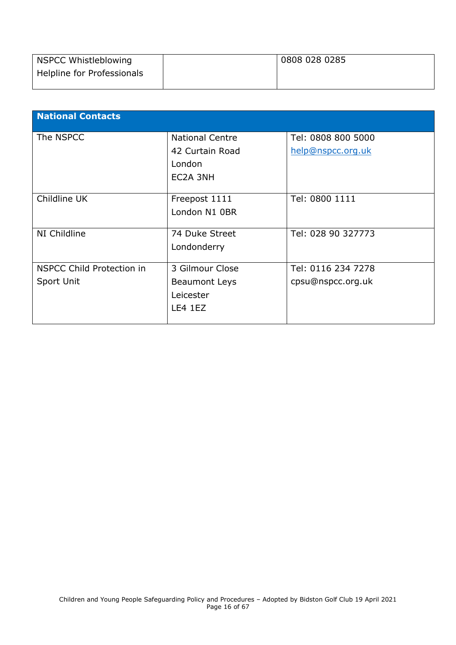| NSPCC Whistleblowing       | 0808 028 0285 |
|----------------------------|---------------|
| Helpline for Professionals |               |
|                            |               |

<span id="page-15-0"></span>

| <b>National Contacts</b>         |                        |                    |
|----------------------------------|------------------------|--------------------|
|                                  |                        |                    |
| The NSPCC                        | <b>National Centre</b> | Tel: 0808 800 5000 |
|                                  | 42 Curtain Road        | help@nspcc.org.uk  |
|                                  | London                 |                    |
|                                  | EC2A 3NH               |                    |
|                                  |                        |                    |
| Childline UK                     | Freepost 1111          | Tel: 0800 1111     |
|                                  | London N1 0BR          |                    |
|                                  |                        |                    |
| NI Childline                     | 74 Duke Street         | Tel: 028 90 327773 |
|                                  | Londonderry            |                    |
|                                  |                        |                    |
| <b>NSPCC Child Protection in</b> | 3 Gilmour Close        | Tel: 0116 234 7278 |
| Sport Unit                       | <b>Beaumont Leys</b>   | cpsu@nspcc.org.uk  |
|                                  | Leicester              |                    |
|                                  | LE4 1EZ                |                    |
|                                  |                        |                    |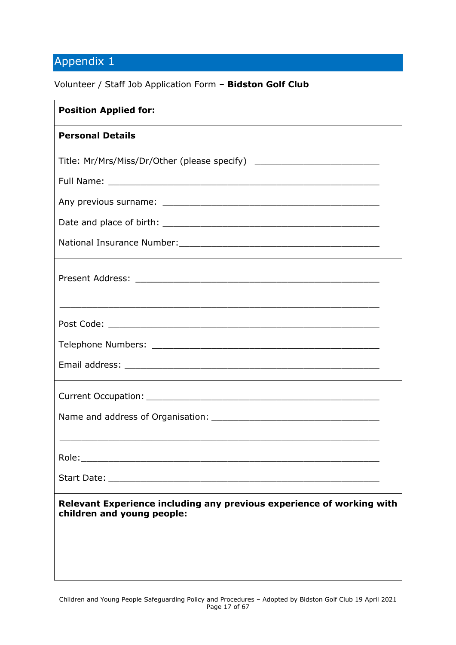Volunteer / Staff Job Application Form – **Bidston Golf Club**

| <b>Position Applied for:</b>                                                                        |
|-----------------------------------------------------------------------------------------------------|
| <b>Personal Details</b>                                                                             |
| Title: Mr/Mrs/Miss/Dr/Other (please specify) ___________________________________                    |
|                                                                                                     |
|                                                                                                     |
|                                                                                                     |
|                                                                                                     |
|                                                                                                     |
|                                                                                                     |
|                                                                                                     |
|                                                                                                     |
|                                                                                                     |
|                                                                                                     |
|                                                                                                     |
|                                                                                                     |
|                                                                                                     |
|                                                                                                     |
| Relevant Experience including any previous experience of working with<br>children and young people: |
|                                                                                                     |
|                                                                                                     |
|                                                                                                     |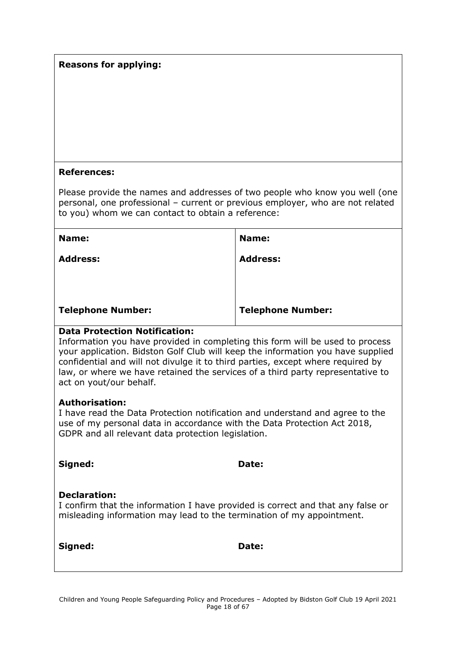#### **Reasons for applying:**

#### **References:**

Please provide the names and addresses of two people who know you well (one personal, one professional – current or previous employer, who are not related to you) whom we can contact to obtain a reference:

| <b>Address:</b>          |
|--------------------------|
|                          |
| <b>Telephone Number:</b> |
|                          |

#### **Data Protection Notification:**

Information you have provided in completing this form will be used to process your application. Bidston Golf Club will keep the information you have supplied confidential and will not divulge it to third parties, except where required by law, or where we have retained the services of a third party representative to act on yout/our behalf.

#### **Authorisation:**

I have read the Data Protection notification and understand and agree to the use of my personal data in accordance with the Data Protection Act 2018, GDPR and all relevant data protection legislation.

| Signed:             | Date:                                                                                                                                                    |  |
|---------------------|----------------------------------------------------------------------------------------------------------------------------------------------------------|--|
| <b>Declaration:</b> | I confirm that the information I have provided is correct and that any false or<br>misleading information may lead to the termination of my appointment. |  |

**Signed: Date:**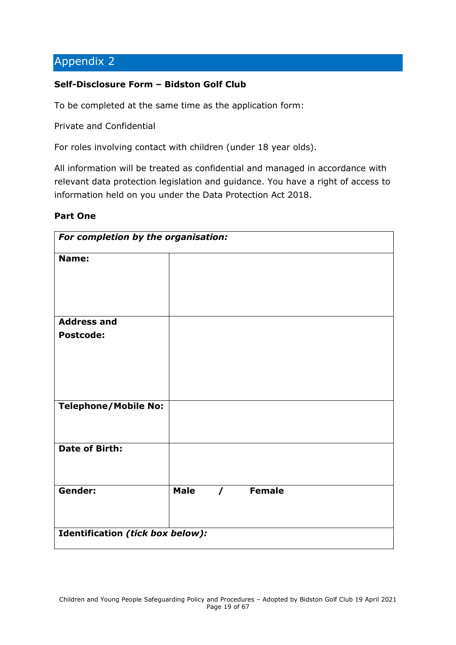#### <span id="page-18-0"></span>**Self-Disclosure Form – Bidston Golf Club**

To be completed at the same time as the application form:

Private and Confidential

For roles involving contact with children (under 18 year olds).

All information will be treated as confidential and managed in accordance with relevant data protection legislation and guidance. You have a right of access to information held on you under the Data Protection Act 2018.

#### **Part One**

| For completion by the organisation:    |             |  |          |  |
|----------------------------------------|-------------|--|----------|--|
| Name:                                  |             |  |          |  |
| <b>Address and</b><br><b>Postcode:</b> |             |  |          |  |
| <b>Telephone/Mobile No:</b>            |             |  |          |  |
| <b>Date of Birth:</b>                  |             |  |          |  |
| <b>Gender:</b>                         | <b>Male</b> |  | / Female |  |
| Identification (tick box below):       |             |  |          |  |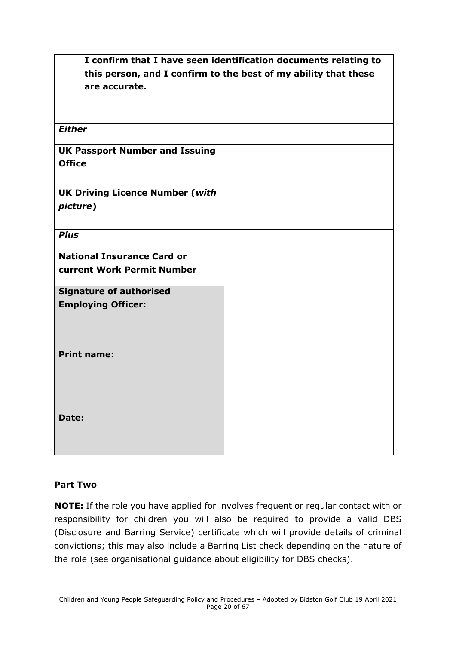|                                        | I confirm that I have seen identification documents relating to |  |  |  |
|----------------------------------------|-----------------------------------------------------------------|--|--|--|
|                                        | this person, and I confirm to the best of my ability that these |  |  |  |
| are accurate.                          |                                                                 |  |  |  |
|                                        |                                                                 |  |  |  |
|                                        |                                                                 |  |  |  |
| <b>Either</b>                          |                                                                 |  |  |  |
|                                        |                                                                 |  |  |  |
| <b>UK Passport Number and Issuing</b>  |                                                                 |  |  |  |
| <b>Office</b>                          |                                                                 |  |  |  |
|                                        |                                                                 |  |  |  |
| <b>UK Driving Licence Number (with</b> |                                                                 |  |  |  |
|                                        |                                                                 |  |  |  |
| picture)                               |                                                                 |  |  |  |
|                                        |                                                                 |  |  |  |
| <b>Plus</b>                            |                                                                 |  |  |  |
| <b>National Insurance Card or</b>      |                                                                 |  |  |  |
| <b>current Work Permit Number</b>      |                                                                 |  |  |  |
|                                        |                                                                 |  |  |  |
| <b>Signature of authorised</b>         |                                                                 |  |  |  |
| <b>Employing Officer:</b>              |                                                                 |  |  |  |
|                                        |                                                                 |  |  |  |
|                                        |                                                                 |  |  |  |
|                                        |                                                                 |  |  |  |
| <b>Print name:</b>                     |                                                                 |  |  |  |
|                                        |                                                                 |  |  |  |
|                                        |                                                                 |  |  |  |
|                                        |                                                                 |  |  |  |
|                                        |                                                                 |  |  |  |
| Date:                                  |                                                                 |  |  |  |
|                                        |                                                                 |  |  |  |
|                                        |                                                                 |  |  |  |
|                                        |                                                                 |  |  |  |

### **Part Two**

**NOTE:** If the role you have applied for involves frequent or regular contact with or responsibility for children you will also be required to provide a valid DBS (Disclosure and Barring Service) certificate which will provide details of criminal convictions; this may also include a Barring List check depending on the nature of the role (see organisational guidance about eligibility for DBS checks).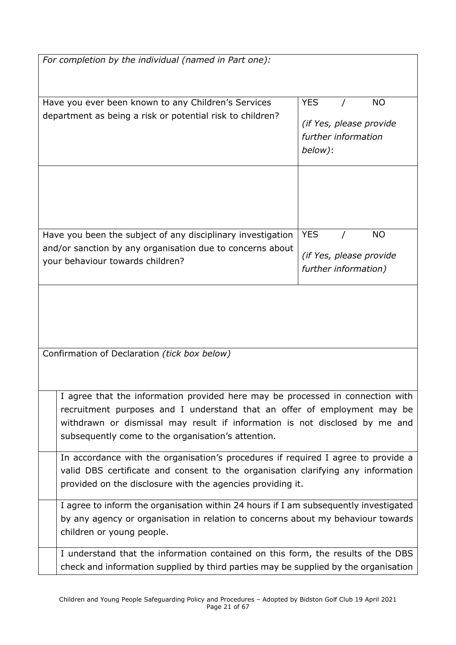| For completion by the individual (named in Part one):                                                                                                                                                                                                                                           |                                                                                      |  |  |
|-------------------------------------------------------------------------------------------------------------------------------------------------------------------------------------------------------------------------------------------------------------------------------------------------|--------------------------------------------------------------------------------------|--|--|
| Have you ever been known to any Children's Services<br>department as being a risk or potential risk to children?                                                                                                                                                                                | <b>YES</b><br><b>NO</b><br>(if Yes, please provide<br>further information<br>below): |  |  |
| Have you been the subject of any disciplinary investigation                                                                                                                                                                                                                                     | <b>NO</b><br><b>YES</b>                                                              |  |  |
| and/or sanction by any organisation due to concerns about<br>your behaviour towards children?                                                                                                                                                                                                   | (if Yes, please provide<br>further information)                                      |  |  |
|                                                                                                                                                                                                                                                                                                 |                                                                                      |  |  |
| Confirmation of Declaration (tick box below)                                                                                                                                                                                                                                                    |                                                                                      |  |  |
| I agree that the information provided here may be processed in connection with<br>recruitment purposes and I understand that an offer of employment may be<br>withdrawn or dismissal may result if information is not disclosed by me and<br>subsequently come to the organisation's attention. |                                                                                      |  |  |
| In accordance with the organisation's procedures if required I agree to provide a<br>valid DBS certificate and consent to the organisation clarifying any information<br>provided on the disclosure with the agencies providing it.                                                             |                                                                                      |  |  |
| I agree to inform the organisation within 24 hours if I am subsequently investigated<br>by any agency or organisation in relation to concerns about my behaviour towards<br>children or young people.                                                                                           |                                                                                      |  |  |
| I understand that the information contained on this form, the results of the DBS<br>check and information supplied by third parties may be supplied by the organisation                                                                                                                         |                                                                                      |  |  |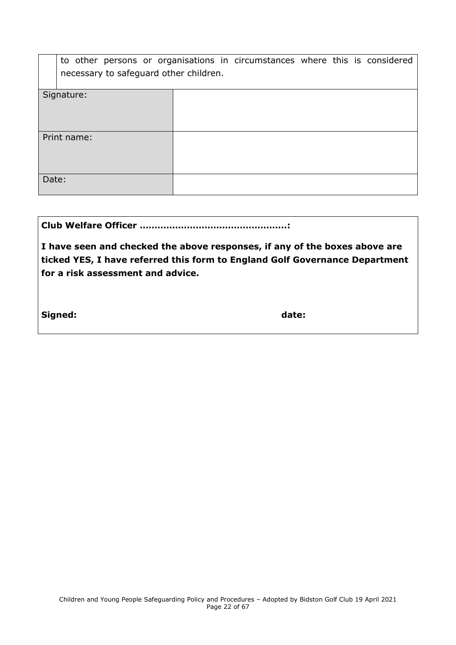|       | to other persons or organisations in circumstances where this is considered<br>necessary to safeguard other children. |  |  |  |
|-------|-----------------------------------------------------------------------------------------------------------------------|--|--|--|
|       |                                                                                                                       |  |  |  |
|       | Signature:                                                                                                            |  |  |  |
|       | Print name:                                                                                                           |  |  |  |
| Date: |                                                                                                                       |  |  |  |

**I have seen and checked the above responses, if any of the boxes above are ticked YES, I have referred this form to England Golf Governance Department for a risk assessment and advice.**

**Signed: date:**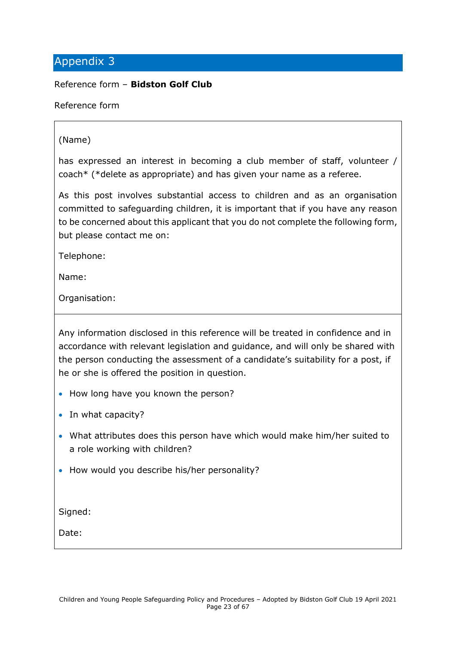<span id="page-22-0"></span>Reference form – **Bidston Golf Club**

Reference form

#### (Name)

has expressed an interest in becoming a club member of staff, volunteer / coach\* (\*delete as appropriate) and has given your name as a referee.

As this post involves substantial access to children and as an organisation committed to safeguarding children, it is important that if you have any reason to be concerned about this applicant that you do not complete the following form, but please contact me on:

Telephone:

Name:

Organisation:

Any information disclosed in this reference will be treated in confidence and in accordance with relevant legislation and guidance, and will only be shared with the person conducting the assessment of a candidate's suitability for a post, if he or she is offered the position in question.

- How long have you known the person?
- In what capacity?
- What attributes does this person have which would make him/her suited to a role working with children?
- How would you describe his/her personality?

Signed:

Date: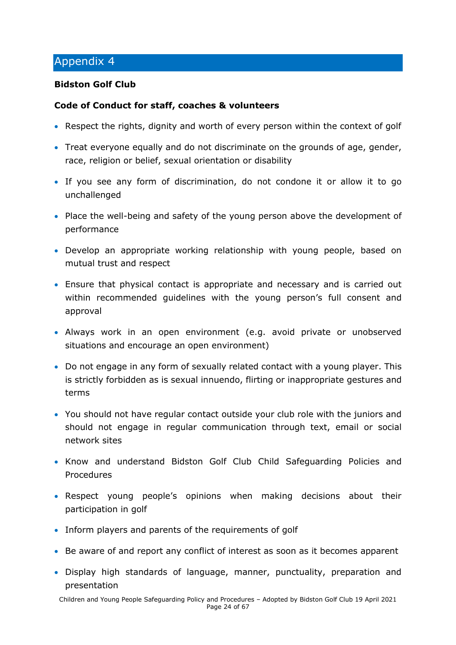### <span id="page-23-0"></span>**Bidston Golf Club**

### **Code of Conduct for staff, coaches & volunteers**

- Respect the rights, dignity and worth of every person within the context of golf
- Treat everyone equally and do not discriminate on the grounds of age, gender, race, religion or belief, sexual orientation or disability
- If you see any form of discrimination, do not condone it or allow it to go unchallenged
- Place the well-being and safety of the young person above the development of performance
- Develop an appropriate working relationship with young people, based on mutual trust and respect
- Ensure that physical contact is appropriate and necessary and is carried out within recommended guidelines with the young person's full consent and approval
- Always work in an open environment (e.g. avoid private or unobserved situations and encourage an open environment)
- Do not engage in any form of sexually related contact with a young player. This is strictly forbidden as is sexual innuendo, flirting or inappropriate gestures and terms
- You should not have regular contact outside your club role with the juniors and should not engage in regular communication through text, email or social network sites
- Know and understand Bidston Golf Club Child Safeguarding Policies and Procedures
- Respect young people's opinions when making decisions about their participation in golf
- Inform players and parents of the requirements of golf
- Be aware of and report any conflict of interest as soon as it becomes apparent
- Display high standards of language, manner, punctuality, preparation and presentation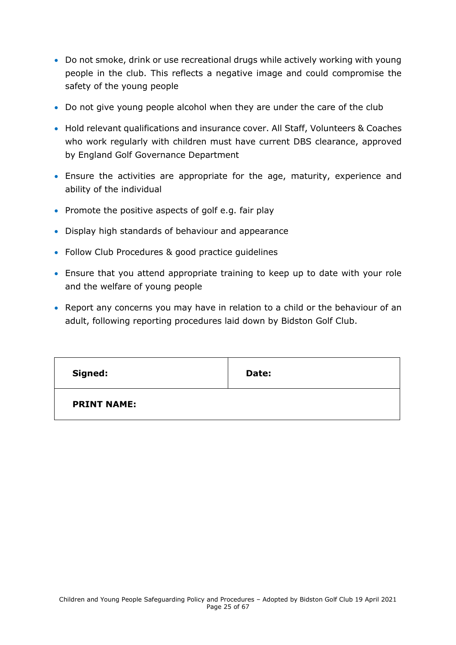- Do not smoke, drink or use recreational drugs while actively working with young people in the club. This reflects a negative image and could compromise the safety of the young people
- Do not give young people alcohol when they are under the care of the club
- Hold relevant qualifications and insurance cover. All Staff, Volunteers & Coaches who work regularly with children must have current DBS clearance, approved by England Golf Governance Department
- Ensure the activities are appropriate for the age, maturity, experience and ability of the individual
- Promote the positive aspects of golf e.g. fair play
- Display high standards of behaviour and appearance
- Follow Club Procedures & good practice guidelines
- Ensure that you attend appropriate training to keep up to date with your role and the welfare of young people
- Report any concerns you may have in relation to a child or the behaviour of an adult, following reporting procedures laid down by Bidston Golf Club.

| Signed:            | Date: |
|--------------------|-------|
| <b>PRINT NAME:</b> |       |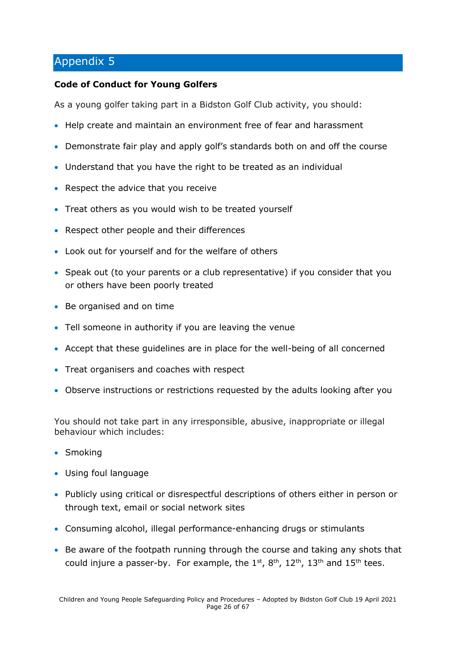#### **Code of Conduct for Young Golfers**

As a young golfer taking part in a Bidston Golf Club activity, you should:

- Help create and maintain an environment free of fear and harassment
- Demonstrate fair play and apply golf's standards both on and off the course
- Understand that you have the right to be treated as an individual
- Respect the advice that you receive
- Treat others as you would wish to be treated yourself
- Respect other people and their differences
- Look out for yourself and for the welfare of others
- Speak out (to your parents or a club representative) if you consider that you or others have been poorly treated
- Be organised and on time
- Tell someone in authority if you are leaving the venue
- Accept that these guidelines are in place for the well-being of all concerned
- Treat organisers and coaches with respect
- Observe instructions or restrictions requested by the adults looking after you

You should not take part in any irresponsible, abusive, inappropriate or illegal behaviour which includes:

- Smoking
- Using foul language
- Publicly using critical or disrespectful descriptions of others either in person or through text, email or social network sites
- Consuming alcohol, illegal performance-enhancing drugs or stimulants
- Be aware of the footpath running through the course and taking any shots that could injure a passer-by. For example, the  $1^{st}$ ,  $8^{th}$ ,  $12^{th}$ ,  $13^{th}$  and  $15^{th}$  tees.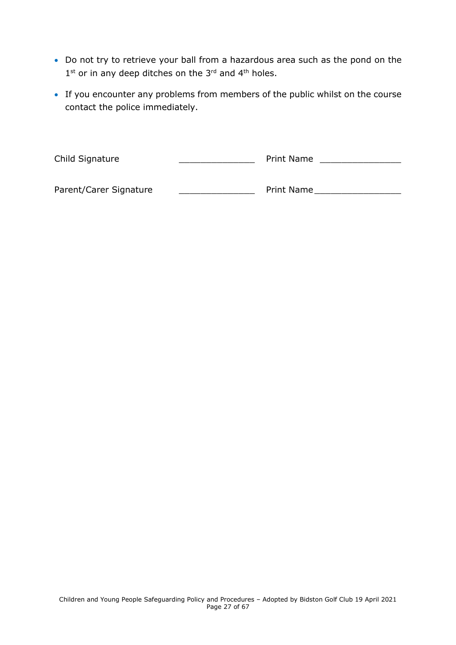- Do not try to retrieve your ball from a hazardous area such as the pond on the  $1<sup>st</sup>$  or in any deep ditches on the 3<sup>rd</sup> and 4<sup>th</sup> holes.
- If you encounter any problems from members of the public whilst on the course contact the police immediately.

<span id="page-26-0"></span>

| Child Signature        | <b>Print Name</b> |  |
|------------------------|-------------------|--|
| Parent/Carer Signature | <b>Print Name</b> |  |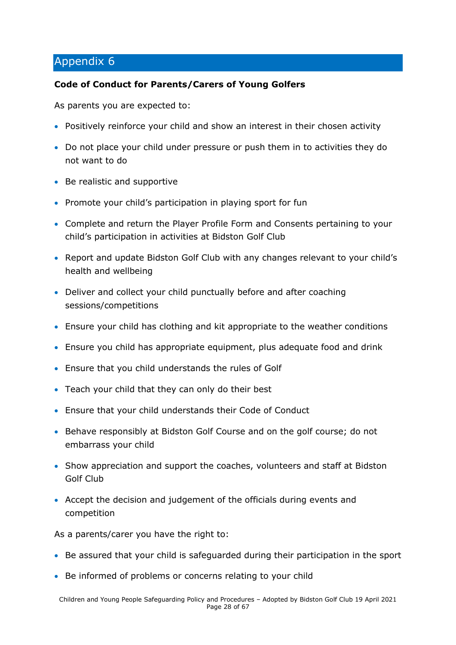### **Code of Conduct for Parents/Carers of Young Golfers**

As parents you are expected to:

- Positively reinforce your child and show an interest in their chosen activity
- Do not place your child under pressure or push them in to activities they do not want to do
- Be realistic and supportive
- Promote your child's participation in playing sport for fun
- Complete and return the Player Profile Form and Consents pertaining to your child's participation in activities at Bidston Golf Club
- Report and update Bidston Golf Club with any changes relevant to your child's health and wellbeing
- Deliver and collect your child punctually before and after coaching sessions/competitions
- Ensure your child has clothing and kit appropriate to the weather conditions
- Ensure you child has appropriate equipment, plus adequate food and drink
- Ensure that you child understands the rules of Golf
- Teach your child that they can only do their best
- Ensure that your child understands their Code of Conduct
- Behave responsibly at Bidston Golf Course and on the golf course; do not embarrass your child
- Show appreciation and support the coaches, volunteers and staff at Bidston Golf Club
- Accept the decision and judgement of the officials during events and competition

As a parents/carer you have the right to:

- Be assured that your child is safeguarded during their participation in the sport
- Be informed of problems or concerns relating to your child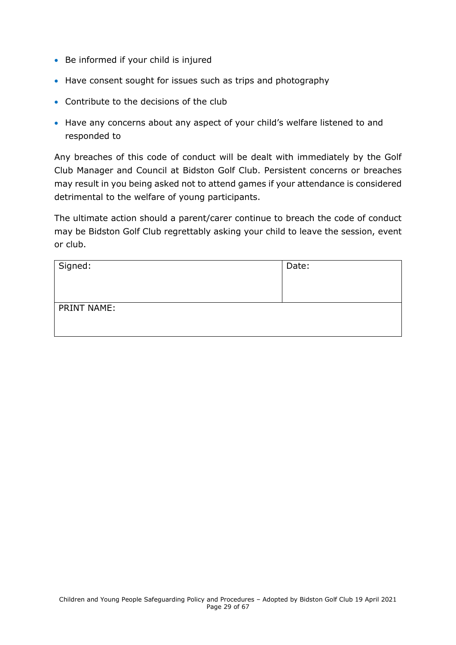- Be informed if your child is injured
- Have consent sought for issues such as trips and photography
- Contribute to the decisions of the club
- Have any concerns about any aspect of your child's welfare listened to and responded to

Any breaches of this code of conduct will be dealt with immediately by the Golf Club Manager and Council at Bidston Golf Club. Persistent concerns or breaches may result in you being asked not to attend games if your attendance is considered detrimental to the welfare of young participants.

The ultimate action should a parent/carer continue to breach the code of conduct may be Bidston Golf Club regrettably asking your child to leave the session, event or club.

| Signed:            | Date: |
|--------------------|-------|
| <b>PRINT NAME:</b> |       |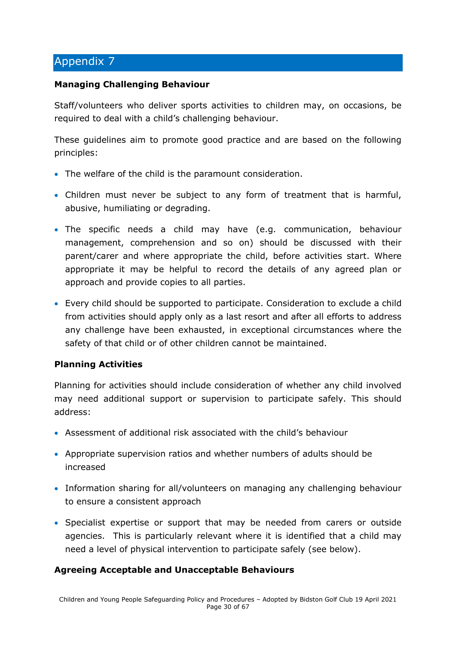#### **Managing Challenging Behaviour**

Staff/volunteers who deliver sports activities to children may, on occasions, be required to deal with a child's challenging behaviour.

These guidelines aim to promote good practice and are based on the following principles:

- The welfare of the child is the paramount consideration.
- Children must never be subject to any form of treatment that is harmful, abusive, humiliating or degrading.
- The specific needs a child may have (e.g. communication, behaviour management, comprehension and so on) should be discussed with their parent/carer and where appropriate the child, before activities start. Where appropriate it may be helpful to record the details of any agreed plan or approach and provide copies to all parties.
- Every child should be supported to participate. Consideration to exclude a child from activities should apply only as a last resort and after all efforts to address any challenge have been exhausted, in exceptional circumstances where the safety of that child or of other children cannot be maintained.

### **Planning Activities**

Planning for activities should include consideration of whether any child involved may need additional support or supervision to participate safely. This should address:

- Assessment of additional risk associated with the child's behaviour
- Appropriate supervision ratios and whether numbers of adults should be increased
- Information sharing for all/volunteers on managing any challenging behaviour to ensure a consistent approach
- Specialist expertise or support that may be needed from carers or outside agencies. This is particularly relevant where it is identified that a child may need a level of physical intervention to participate safely (see below).

### **Agreeing Acceptable and Unacceptable Behaviours**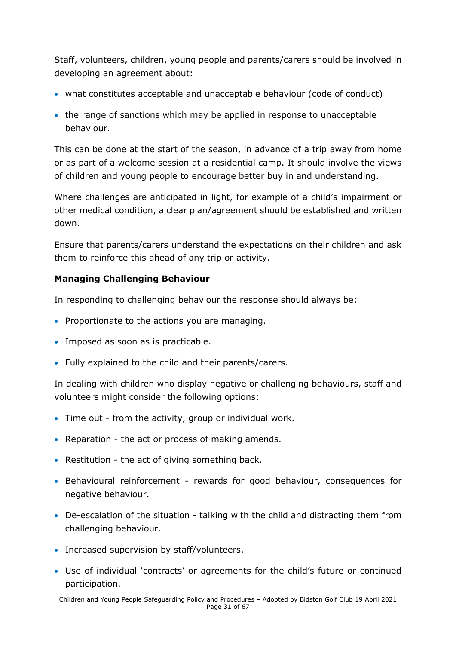Staff, volunteers, children, young people and parents/carers should be involved in developing an agreement about:

- what constitutes acceptable and unacceptable behaviour (code of conduct)
- the range of sanctions which may be applied in response to unacceptable behaviour.

This can be done at the start of the season, in advance of a trip away from home or as part of a welcome session at a residential camp. It should involve the views of children and young people to encourage better buy in and understanding.

Where challenges are anticipated in light, for example of a child's impairment or other medical condition, a clear plan/agreement should be established and written down.

Ensure that parents/carers understand the expectations on their children and ask them to reinforce this ahead of any trip or activity.

# **Managing Challenging Behaviour**

In responding to challenging behaviour the response should always be:

- Proportionate to the actions you are managing.
- Imposed as soon as is practicable.
- Fully explained to the child and their parents/carers.

In dealing with children who display negative or challenging behaviours, staff and volunteers might consider the following options:

- Time out from the activity, group or individual work.
- Reparation the act or process of making amends.
- Restitution the act of giving something back.
- Behavioural reinforcement rewards for good behaviour, consequences for negative behaviour.
- De-escalation of the situation talking with the child and distracting them from challenging behaviour.
- Increased supervision by staff/volunteers.
- Use of individual 'contracts' or agreements for the child's future or continued participation.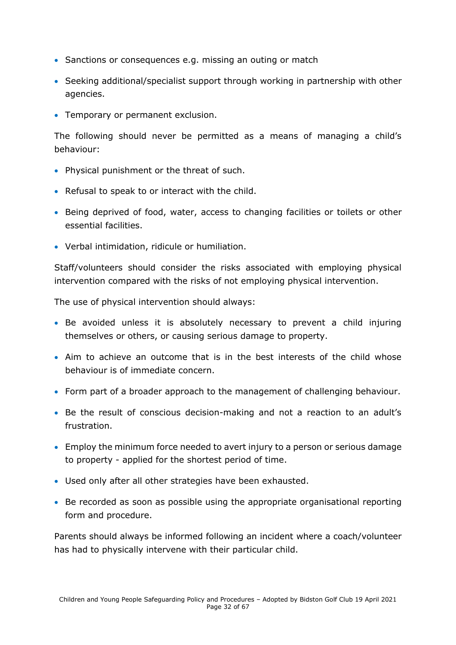- Sanctions or consequences e.g. missing an outing or match
- Seeking additional/specialist support through working in partnership with other agencies.
- Temporary or permanent exclusion.

The following should never be permitted as a means of managing a child's behaviour:

- Physical punishment or the threat of such.
- Refusal to speak to or interact with the child.
- Being deprived of food, water, access to changing facilities or toilets or other essential facilities.
- Verbal intimidation, ridicule or humiliation.

Staff/volunteers should consider the risks associated with employing physical intervention compared with the risks of not employing physical intervention.

The use of physical intervention should always:

- Be avoided unless it is absolutely necessary to prevent a child injuring themselves or others, or causing serious damage to property.
- Aim to achieve an outcome that is in the best interests of the child whose behaviour is of immediate concern.
- Form part of a broader approach to the management of challenging behaviour.
- Be the result of conscious decision-making and not a reaction to an adult's frustration.
- Employ the minimum force needed to avert injury to a person or serious damage to property - applied for the shortest period of time.
- Used only after all other strategies have been exhausted.
- Be recorded as soon as possible using the appropriate organisational reporting form and procedure.

Parents should always be informed following an incident where a coach/volunteer has had to physically intervene with their particular child.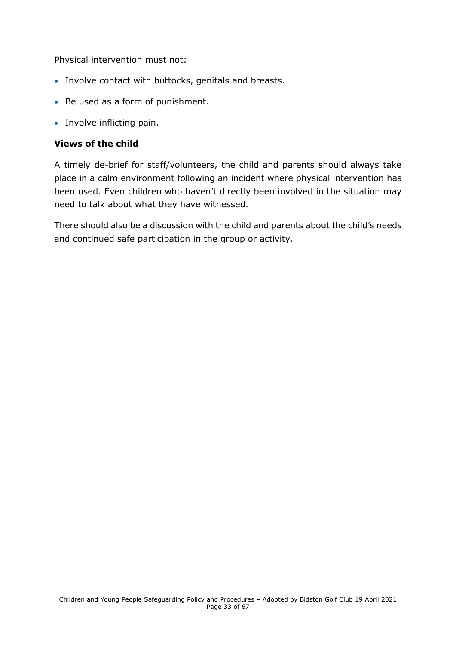Physical intervention must not:

- Involve contact with buttocks, genitals and breasts.
- Be used as a form of punishment.
- Involve inflicting pain.

#### **Views of the child**

A timely de-brief for staff/volunteers, the child and parents should always take place in a calm environment following an incident where physical intervention has been used. Even children who haven't directly been involved in the situation may need to talk about what they have witnessed.

There should also be a discussion with the child and parents about the child's needs and continued safe participation in the group or activity.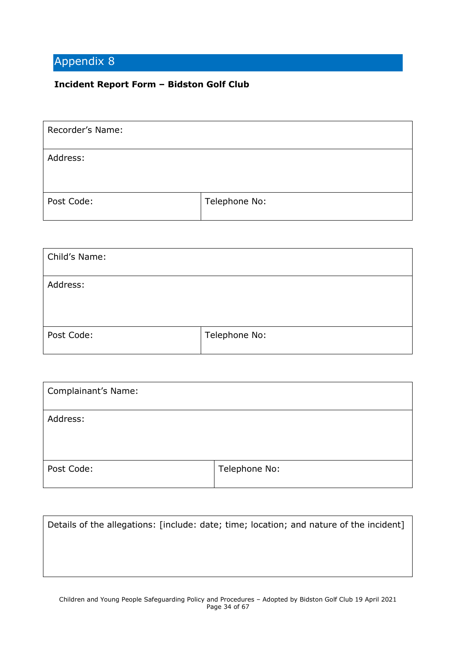# <span id="page-33-0"></span>**Incident Report Form – Bidston Golf Club**

| Recorder's Name: |               |
|------------------|---------------|
| Address:         |               |
| Post Code:       | Telephone No: |

| Child's Name: |               |
|---------------|---------------|
| Address:      |               |
| Post Code:    | Telephone No: |

| Complainant's Name: |               |
|---------------------|---------------|
| Address:            |               |
| Post Code:          | Telephone No: |

| Details of the allegations: [include: date; time; location; and nature of the incident] |  |
|-----------------------------------------------------------------------------------------|--|
|                                                                                         |  |
|                                                                                         |  |
|                                                                                         |  |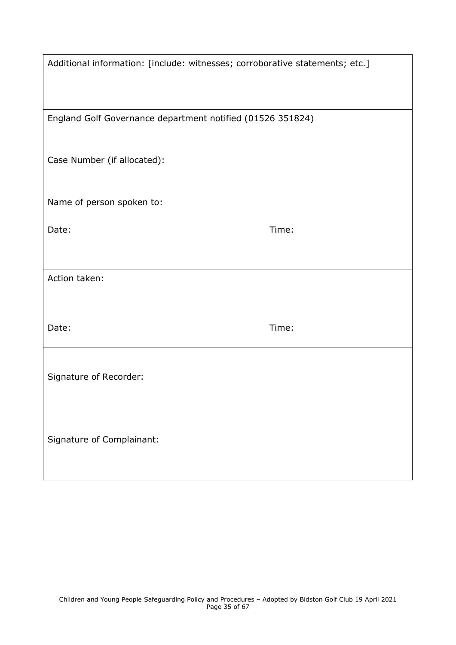| Additional information: [include: witnesses; corroborative statements; etc.] |       |  |
|------------------------------------------------------------------------------|-------|--|
| England Golf Governance department notified (01526 351824)                   |       |  |
| Case Number (if allocated):                                                  |       |  |
| Name of person spoken to:                                                    |       |  |
| Date:                                                                        | Time: |  |
|                                                                              |       |  |
| Action taken:                                                                |       |  |
| Date:                                                                        | Time: |  |
| Signature of Recorder:                                                       |       |  |
| Signature of Complainant:                                                    |       |  |
|                                                                              |       |  |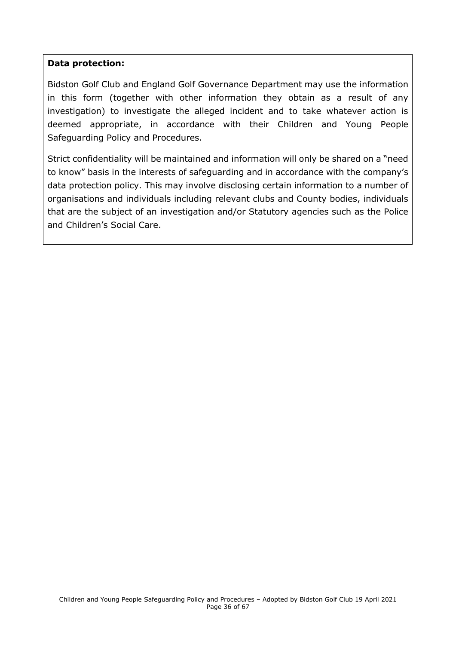#### **Data protection:**

Bidston Golf Club and England Golf Governance Department may use the information in this form (together with other information they obtain as a result of any investigation) to investigate the alleged incident and to take whatever action is deemed appropriate, in accordance with their Children and Young People Safeguarding Policy and Procedures.

Strict confidentiality will be maintained and information will only be shared on a "need to know" basis in the interests of safeguarding and in accordance with the company's data protection policy. This may involve disclosing certain information to a number of organisations and individuals including relevant clubs and County bodies, individuals that are the subject of an investigation and/or Statutory agencies such as the Police and Children's Social Care.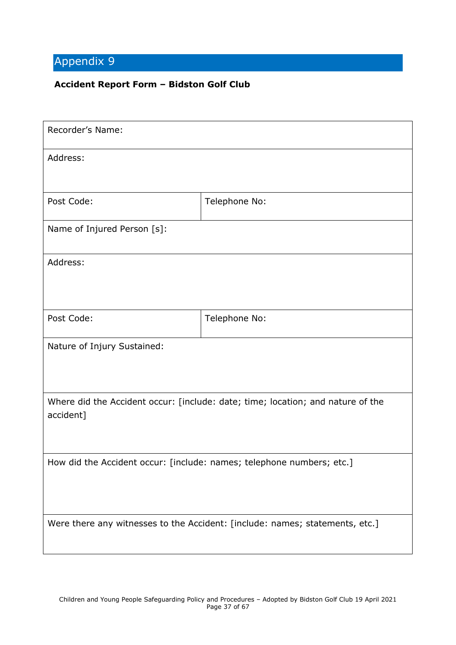#### <span id="page-36-0"></span>**Accident Report Form – Bidston Golf Club**

| Recorder's Name:                                                                             |               |  |
|----------------------------------------------------------------------------------------------|---------------|--|
| Address:                                                                                     |               |  |
| Post Code:                                                                                   | Telephone No: |  |
| Name of Injured Person [s]:                                                                  |               |  |
| Address:                                                                                     |               |  |
| Post Code:                                                                                   | Telephone No: |  |
| Nature of Injury Sustained:                                                                  |               |  |
| Where did the Accident occur: [include: date; time; location; and nature of the<br>accident] |               |  |
| How did the Accident occur: [include: names; telephone numbers; etc.]                        |               |  |
| Were there any witnesses to the Accident: [include: names; statements, etc.]                 |               |  |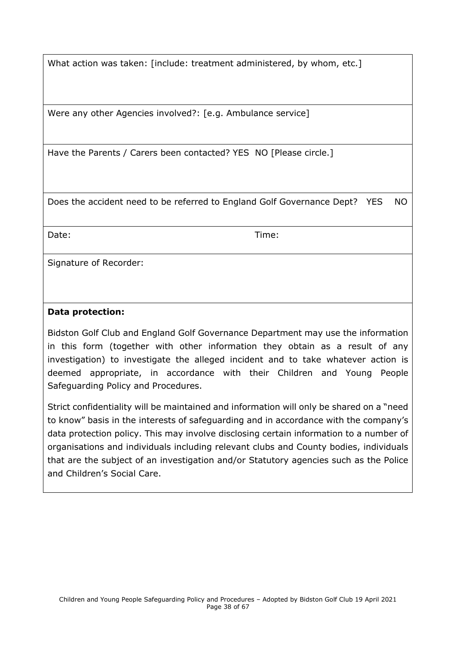What action was taken: [include: treatment administered, by whom, etc.]

Were any other Agencies involved?: [e.g. Ambulance service]

Have the Parents / Carers been contacted? YES NO [Please circle.]

Does the accident need to be referred to England Golf Governance Dept? YES NO

Date: Time:

Signature of Recorder:

#### **Data protection:**

Bidston Golf Club and England Golf Governance Department may use the information in this form (together with other information they obtain as a result of any investigation) to investigate the alleged incident and to take whatever action is deemed appropriate, in accordance with their Children and Young People Safeguarding Policy and Procedures.

<span id="page-37-0"></span>Strict confidentiality will be maintained and information will only be shared on a "need to know" basis in the interests of safeguarding and in accordance with the company's data protection policy. This may involve disclosing certain information to a number of organisations and individuals including relevant clubs and County bodies, individuals that are the subject of an investigation and/or Statutory agencies such as the Police and Children's Social Care.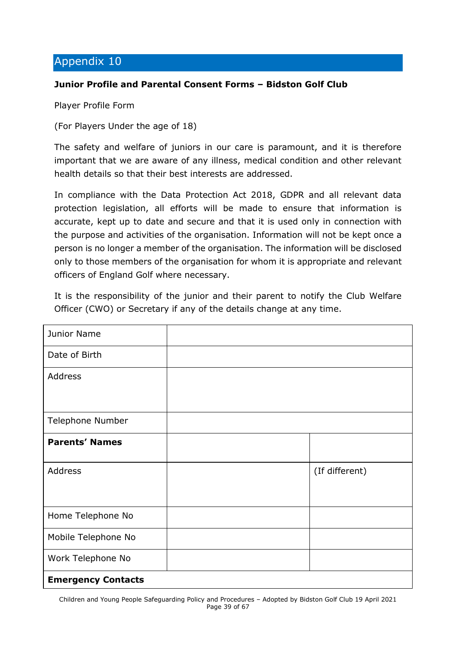#### **Junior Profile and Parental Consent Forms – Bidston Golf Club**

Player Profile Form

(For Players Under the age of 18)

The safety and welfare of juniors in our care is paramount, and it is therefore important that we are aware of any illness, medical condition and other relevant health details so that their best interests are addressed.

In compliance with the Data Protection Act 2018, GDPR and all relevant data protection legislation, all efforts will be made to ensure that information is accurate, kept up to date and secure and that it is used only in connection with the purpose and activities of the organisation. Information will not be kept once a person is no longer a member of the organisation. The information will be disclosed only to those members of the organisation for whom it is appropriate and relevant officers of England Golf where necessary.

It is the responsibility of the junior and their parent to notify the Club Welfare Officer (CWO) or Secretary if any of the details change at any time.

| Junior Name               |                |
|---------------------------|----------------|
| Date of Birth             |                |
| <b>Address</b>            |                |
|                           |                |
| Telephone Number          |                |
| <b>Parents' Names</b>     |                |
| <b>Address</b>            | (If different) |
| Home Telephone No         |                |
| Mobile Telephone No       |                |
| Work Telephone No         |                |
| <b>Emergency Contacts</b> |                |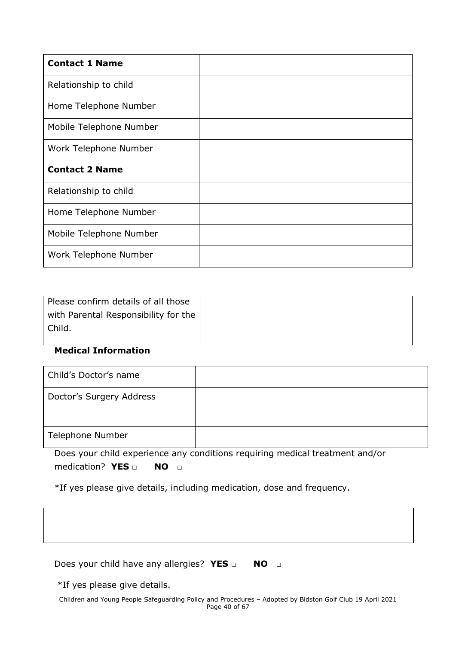| <b>Contact 1 Name</b>   |  |
|-------------------------|--|
| Relationship to child   |  |
| Home Telephone Number   |  |
| Mobile Telephone Number |  |
| Work Telephone Number   |  |
| <b>Contact 2 Name</b>   |  |
| Relationship to child   |  |
| Home Telephone Number   |  |
| Mobile Telephone Number |  |
| Work Telephone Number   |  |

| Please confirm details of all those  |  |
|--------------------------------------|--|
| with Parental Responsibility for the |  |
| Child.                               |  |
|                                      |  |

### **Medical Information**

| Child's Doctor's name    |  |
|--------------------------|--|
| Doctor's Surgery Address |  |
| Telephone Number         |  |

Does your child experience any conditions requiring medical treatment and/or medication? **YES □ NO □**

\*If yes please give details, including medication, dose and frequency.

| Does your child have any allergies? YES $\Box$<br>NO O                                                                     |  |
|----------------------------------------------------------------------------------------------------------------------------|--|
| *If yes please give details.                                                                                               |  |
| Children and Young People Safeguarding Policy and Procedures - Adopted by Bidston Golf Club 19 April 2021<br>Page 40 of 67 |  |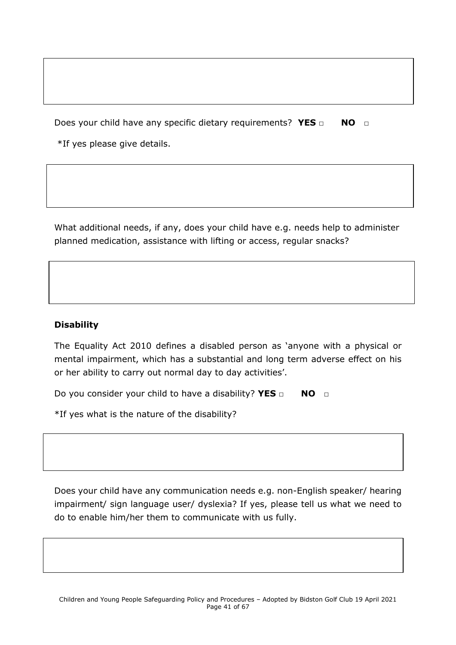Does your child have any specific dietary requirements? YES □ NO □

\*If yes please give details.

What additional needs, if any, does your child have e.g. needs help to administer planned medication, assistance with lifting or access, regular snacks?

### **Disability**

The Equality Act 2010 defines a disabled person as 'anyone with a physical or mental impairment, which has a substantial and long term adverse effect on his or her ability to carry out normal day to day activities'.

Do you consider your child to have a disability? **YES □ NO □**

\*If yes what is the nature of the disability?

Does your child have any communication needs e.g. non-English speaker/ hearing impairment/ sign language user/ dyslexia? If yes, please tell us what we need to do to enable him/her them to communicate with us fully.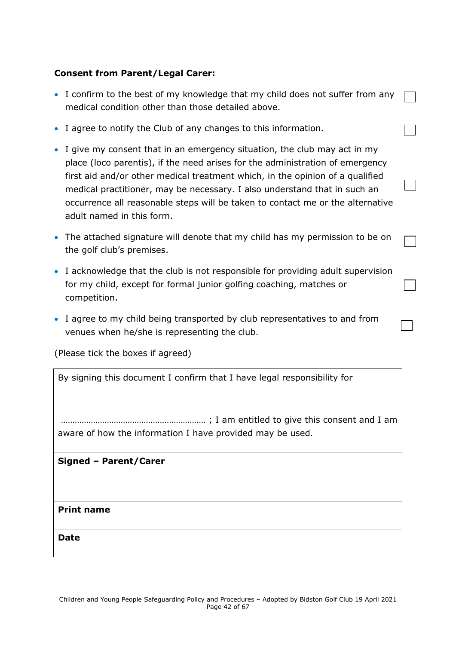### **Consent from Parent/Legal Carer:**

- I confirm to the best of my knowledge that my child does not suffer from any medical condition other than those detailed above.
- I agree to notify the Club of any changes to this information.
- I give my consent that in an emergency situation, the club may act in my place (loco parentis), if the need arises for the administration of emergency first aid and/or other medical treatment which, in the opinion of a qualified medical practitioner, may be necessary. I also understand that in such an occurrence all reasonable steps will be taken to contact me or the alternative adult named in this form.
- The attached signature will denote that my child has my permission to be on the golf club's premises.
- I acknowledge that the club is not responsible for providing adult supervision for my child, except for formal junior golfing coaching, matches or competition.
- I agree to my child being transported by club representatives to and from venues when he/she is representing the club.

(Please tick the boxes if agreed)

| By signing this document I confirm that I have legal responsibility for |  |  |
|-------------------------------------------------------------------------|--|--|
| aware of how the information I have provided may be used.               |  |  |
| Signed - Parent/Carer                                                   |  |  |
|                                                                         |  |  |
| <b>Print name</b>                                                       |  |  |
| Date                                                                    |  |  |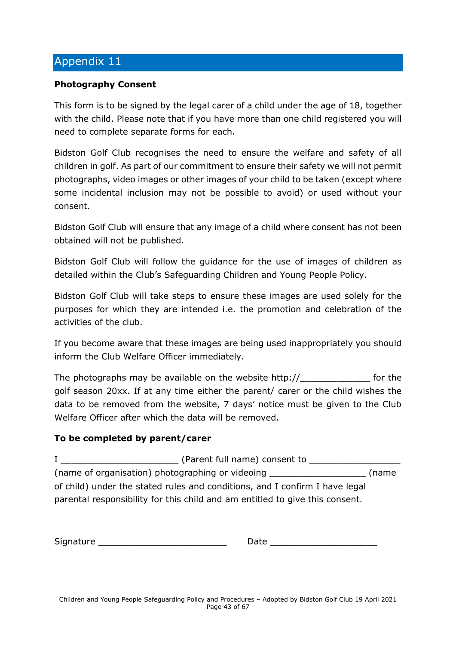#### <span id="page-42-0"></span>**Photography Consent**

This form is to be signed by the legal carer of a child under the age of 18, together with the child. Please note that if you have more than one child registered you will need to complete separate forms for each.

Bidston Golf Club recognises the need to ensure the welfare and safety of all children in golf. As part of our commitment to ensure their safety we will not permit photographs, video images or other images of your child to be taken (except where some incidental inclusion may not be possible to avoid) or used without your consent.

Bidston Golf Club will ensure that any image of a child where consent has not been obtained will not be published.

Bidston Golf Club will follow the guidance for the use of images of children as detailed within the Club's Safeguarding Children and Young People Policy.

Bidston Golf Club will take steps to ensure these images are used solely for the purposes for which they are intended i.e. the promotion and celebration of the activities of the club.

If you become aware that these images are being used inappropriately you should inform the Club Welfare Officer immediately.

The photographs may be available on the website http://\_\_\_\_\_\_\_\_\_\_\_\_\_ for the golf season 20xx. If at any time either the parent/ carer or the child wishes the data to be removed from the website, 7 days' notice must be given to the Club Welfare Officer after which the data will be removed.

#### **To be completed by parent/carer**

I \_\_\_\_\_\_\_\_\_\_\_\_\_\_\_\_\_\_\_\_\_\_ (Parent full name) consent to \_\_\_\_\_\_\_\_\_\_\_\_\_\_\_\_\_ (name of organisation) photographing or videoing \_\_\_\_\_\_\_\_\_\_\_\_\_\_\_\_\_\_ (name of child) under the stated rules and conditions, and I confirm I have legal parental responsibility for this child and am entitled to give this consent.

Signature \_\_\_\_\_\_\_\_\_\_\_\_\_\_\_\_\_\_\_\_\_\_\_\_ Date \_\_\_\_\_\_\_\_\_\_\_\_\_\_\_\_\_\_\_\_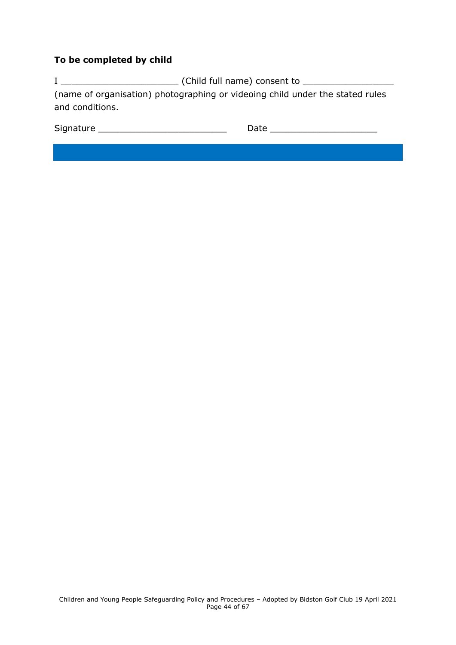### **To be completed by child**

I \_\_\_\_\_\_\_\_\_\_\_\_\_\_\_\_\_\_\_\_\_\_ (Child full name) consent to \_\_\_\_\_\_\_\_\_\_\_\_\_\_\_\_\_ (name of organisation) photographing or videoing child under the stated rules and conditions.

<span id="page-43-0"></span>

| Signature |  |
|-----------|--|
|-----------|--|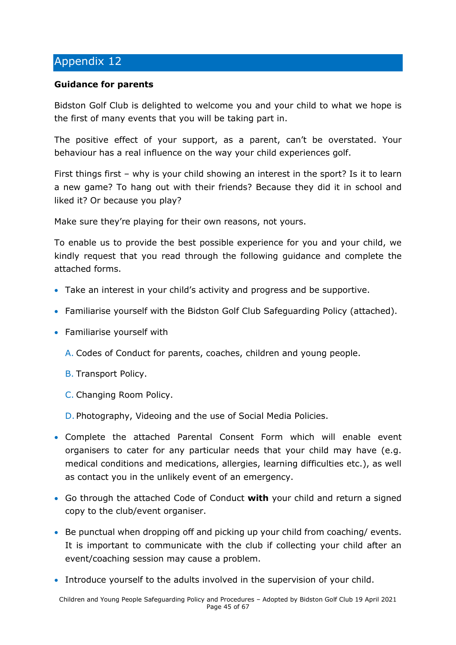#### **Guidance for parents**

Bidston Golf Club is delighted to welcome you and your child to what we hope is the first of many events that you will be taking part in.

The positive effect of your support, as a parent, can't be overstated. Your behaviour has a real influence on the way your child experiences golf.

First things first – why is your child showing an interest in the sport? Is it to learn a new game? To hang out with their friends? Because they did it in school and liked it? Or because you play?

Make sure they're playing for their own reasons, not yours.

To enable us to provide the best possible experience for you and your child, we kindly request that you read through the following guidance and complete the attached forms.

- Take an interest in your child's activity and progress and be supportive.
- Familiarise yourself with the Bidston Golf Club Safeguarding Policy (attached).
- Familiarise yourself with
	- A. Codes of Conduct for parents, coaches, children and young people.
	- B. Transport Policy.
	- C. Changing Room Policy.

D. Photography, Videoing and the use of Social Media Policies.

- Complete the attached Parental Consent Form which will enable event organisers to cater for any particular needs that your child may have (e.g. medical conditions and medications, allergies, learning difficulties etc.), as well as contact you in the unlikely event of an emergency.
- Go through the attached Code of Conduct **with** your child and return a signed copy to the club/event organiser.
- Be punctual when dropping off and picking up your child from coaching/ events. It is important to communicate with the club if collecting your child after an event/coaching session may cause a problem.
- Introduce yourself to the adults involved in the supervision of your child.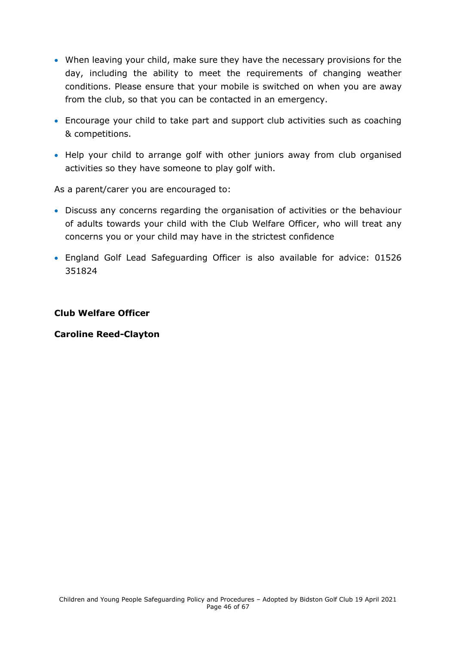- When leaving your child, make sure they have the necessary provisions for the day, including the ability to meet the requirements of changing weather conditions. Please ensure that your mobile is switched on when you are away from the club, so that you can be contacted in an emergency.
- Encourage your child to take part and support club activities such as coaching & competitions.
- Help your child to arrange golf with other juniors away from club organised activities so they have someone to play golf with.

As a parent/carer you are encouraged to:

- Discuss any concerns regarding the organisation of activities or the behaviour of adults towards your child with the Club Welfare Officer, who will treat any concerns you or your child may have in the strictest confidence
- England Golf Lead Safeguarding Officer is also available for advice: 01526 351824

#### **Club Welfare Officer**

#### **Caroline Reed-Clayton**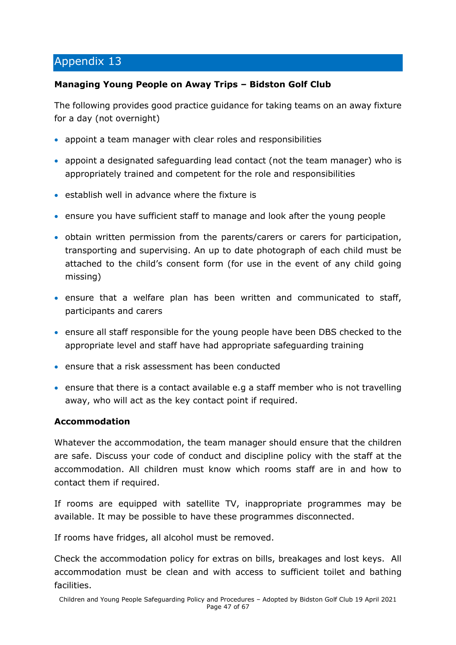### <span id="page-46-0"></span>**Managing Young People on Away Trips – Bidston Golf Club**

The following provides good practice guidance for taking teams on an away fixture for a day (not overnight)

- appoint a team manager with clear roles and responsibilities
- appoint a designated safeguarding lead contact (not the team manager) who is appropriately trained and competent for the role and responsibilities
- establish well in advance where the fixture is
- ensure you have sufficient staff to manage and look after the young people
- obtain written permission from the parents/carers or carers for participation, transporting and supervising. An up to date photograph of each child must be attached to the child's consent form (for use in the event of any child going missing)
- ensure that a welfare plan has been written and communicated to staff, participants and carers
- ensure all staff responsible for the young people have been DBS checked to the appropriate level and staff have had appropriate safeguarding training
- ensure that a risk assessment has been conducted
- ensure that there is a contact available e.g a staff member who is not travelling away, who will act as the key contact point if required.

# **Accommodation**

Whatever the accommodation, the team manager should ensure that the children are safe. Discuss your code of conduct and discipline policy with the staff at the accommodation. All children must know which rooms staff are in and how to contact them if required.

If rooms are equipped with satellite TV, inappropriate programmes may be available. It may be possible to have these programmes disconnected.

If rooms have fridges, all alcohol must be removed.

Check the accommodation policy for extras on bills, breakages and lost keys. All accommodation must be clean and with access to sufficient toilet and bathing facilities.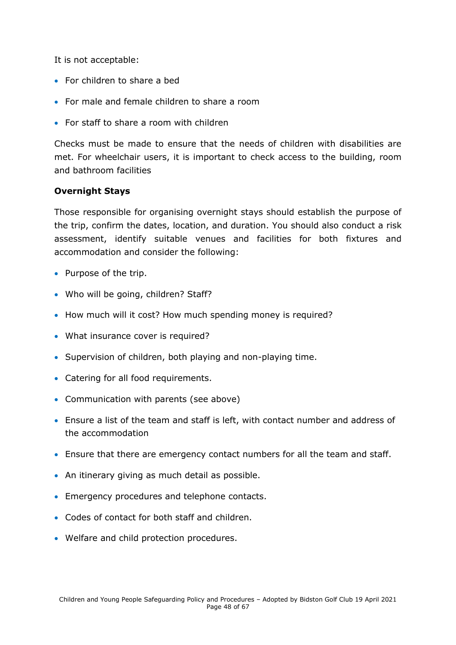It is not acceptable:

- For children to share a bed
- For male and female children to share a room
- For staff to share a room with children

Checks must be made to ensure that the needs of children with disabilities are met. For wheelchair users, it is important to check access to the building, room and bathroom facilities

### **Overnight Stays**

Those responsible for organising overnight stays should establish the purpose of the trip, confirm the dates, location, and duration. You should also conduct a risk assessment, identify suitable venues and facilities for both fixtures and accommodation and consider the following:

- Purpose of the trip.
- Who will be going, children? Staff?
- How much will it cost? How much spending money is required?
- What insurance cover is required?
- Supervision of children, both playing and non-playing time.
- Catering for all food requirements.
- Communication with parents (see above)
- Ensure a list of the team and staff is left, with contact number and address of the accommodation
- Ensure that there are emergency contact numbers for all the team and staff.
- An itinerary giving as much detail as possible.
- Emergency procedures and telephone contacts.
- Codes of contact for both staff and children.
- Welfare and child protection procedures.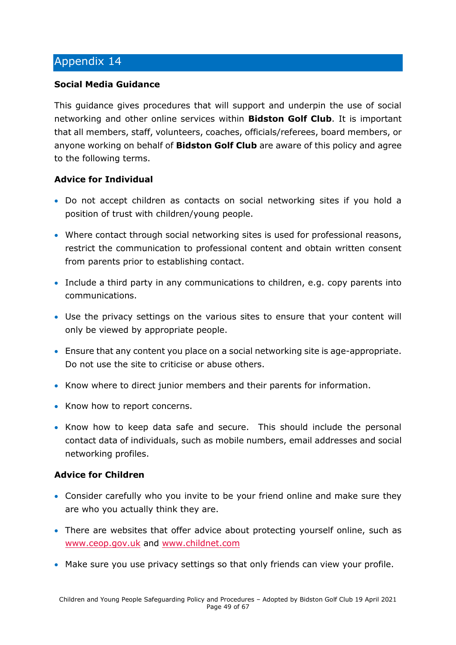#### **Social Media Guidance**

This guidance gives procedures that will support and underpin the use of social networking and other online services within **Bidston Golf Club**. It is important that all members, staff, volunteers, coaches, officials/referees, board members, or anyone working on behalf of **Bidston Golf Club** are aware of this policy and agree to the following terms.

#### **Advice for Individual**

- Do not accept children as contacts on social networking sites if you hold a position of trust with children/young people.
- Where contact through social networking sites is used for professional reasons, restrict the communication to professional content and obtain written consent from parents prior to establishing contact.
- Include a third party in any communications to children, e.g. copy parents into communications.
- Use the privacy settings on the various sites to ensure that your content will only be viewed by appropriate people.
- Ensure that any content you place on a social networking site is age-appropriate. Do not use the site to criticise or abuse others.
- Know where to direct junior members and their parents for information.
- Know how to report concerns.
- Know how to keep data safe and secure. This should include the personal contact data of individuals, such as mobile numbers, email addresses and social networking profiles.

#### **Advice for Children**

- Consider carefully who you invite to be your friend online and make sure they are who you actually think they are.
- There are websites that offer advice about protecting yourself online, such as [www.ceop.gov.uk](http://www.ceop.gov.uk/) and [www.childnet.com](http://www.childnet.com/)
- Make sure you use privacy settings so that only friends can view your profile.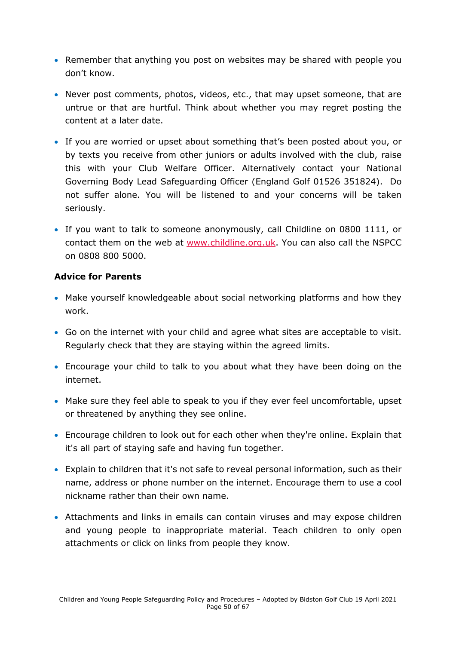- Remember that anything you post on websites may be shared with people you don't know.
- Never post comments, photos, videos, etc., that may upset someone, that are untrue or that are hurtful. Think about whether you may regret posting the content at a later date.
- If you are worried or upset about something that's been posted about you, or by texts you receive from other juniors or adults involved with the club, raise this with your Club Welfare Officer. Alternatively contact your National Governing Body Lead Safeguarding Officer (England Golf 01526 351824). Do not suffer alone. You will be listened to and your concerns will be taken seriously.
- If you want to talk to someone anonymously, call Childline on 0800 1111, or contact them on the web at [www.childline.org.uk.](http://www.childline.org.uk/) You can also call the NSPCC on 0808 800 5000.

#### **Advice for Parents**

- Make yourself knowledgeable about social networking platforms and how they work.
- Go on the internet with your child and agree what sites are acceptable to visit. Regularly check that they are staying within the agreed limits.
- Encourage your child to talk to you about what they have been doing on the internet.
- Make sure they feel able to speak to you if they ever feel uncomfortable, upset or threatened by anything they see online.
- Encourage children to look out for each other when they're online. Explain that it's all part of staying safe and having fun together.
- Explain to children that it's not safe to reveal personal information, such as their name, address or phone number on the internet. Encourage them to use a cool nickname rather than their own name.
- Attachments and links in emails can contain viruses and may expose children and young people to inappropriate material. Teach children to only open attachments or click on links from people they know.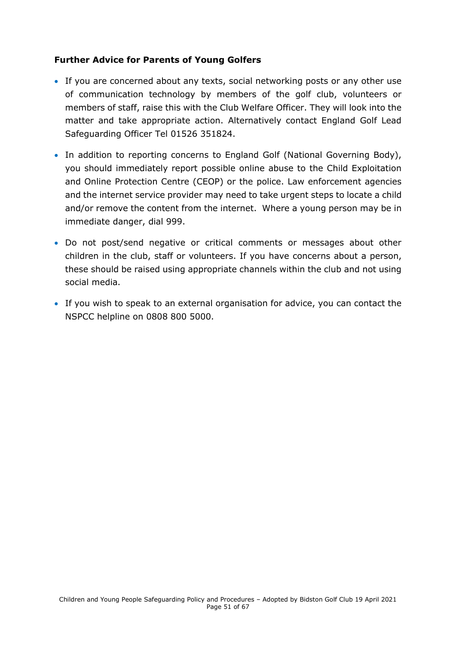#### **Further Advice for Parents of Young Golfers**

- If you are concerned about any texts, social networking posts or any other use of communication technology by members of the golf club, volunteers or members of staff, raise this with the Club Welfare Officer. They will look into the matter and take appropriate action. Alternatively contact England Golf Lead Safeguarding Officer Tel 01526 351824.
- In addition to reporting concerns to England Golf (National Governing Body), you should immediately report possible online abuse to the Child Exploitation and Online Protection Centre (CEOP) or the police. Law enforcement agencies and the internet service provider may need to take urgent steps to locate a child and/or remove the content from the internet. Where a young person may be in immediate danger, dial 999.
- Do not post/send negative or critical comments or messages about other children in the club, staff or volunteers. If you have concerns about a person, these should be raised using appropriate channels within the club and not using social media.
- If you wish to speak to an external organisation for advice, you can contact the NSPCC helpline on 0808 800 5000.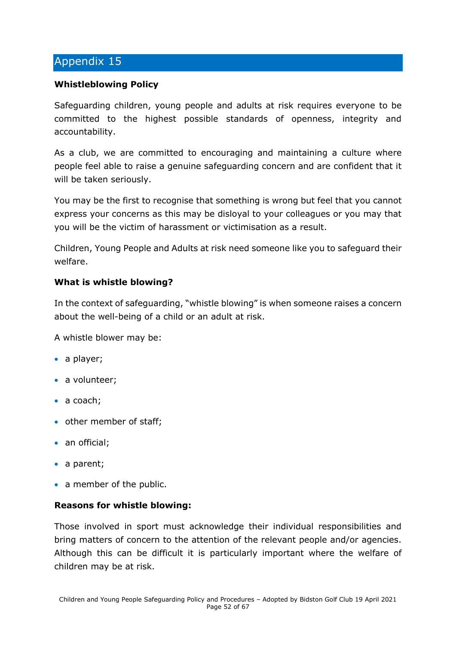#### <span id="page-51-0"></span>**Whistleblowing Policy**

Safeguarding children, young people and adults at risk requires everyone to be committed to the highest possible standards of openness, integrity and accountability.

As a club, we are committed to encouraging and maintaining a culture where people feel able to raise a genuine safeguarding concern and are confident that it will be taken seriously.

You may be the first to recognise that something is wrong but feel that you cannot express your concerns as this may be disloyal to your colleagues or you may that you will be the victim of harassment or victimisation as a result.

Children, Young People and Adults at risk need someone like you to safeguard their welfare.

#### **What is whistle blowing?**

In the context of safeguarding, "whistle blowing" is when someone raises a concern about the well-being of a child or an adult at risk.

A whistle blower may be:

- a player;
- a volunteer;
- a coach;
- other member of staff;
- an official;
- a parent;
- a member of the public.

#### **Reasons for whistle blowing:**

Those involved in sport must acknowledge their individual responsibilities and bring matters of concern to the attention of the relevant people and/or agencies. Although this can be difficult it is particularly important where the welfare of children may be at risk.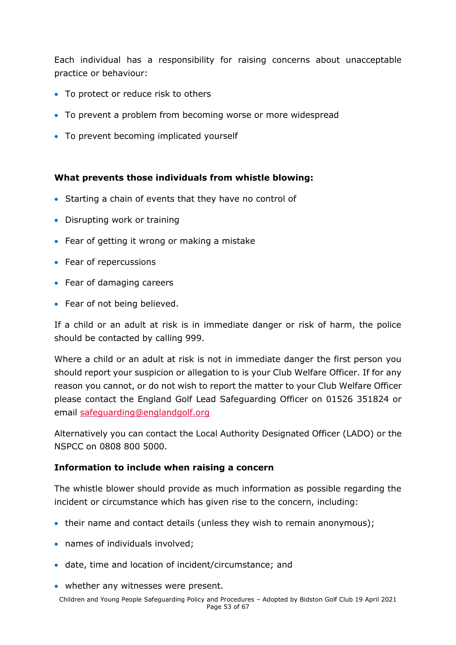Each individual has a responsibility for raising concerns about unacceptable practice or behaviour:

- To protect or reduce risk to others
- To prevent a problem from becoming worse or more widespread
- To prevent becoming implicated yourself

#### **What prevents those individuals from whistle blowing:**

- Starting a chain of events that they have no control of
- Disrupting work or training
- Fear of getting it wrong or making a mistake
- Fear of repercussions
- Fear of damaging careers
- Fear of not being believed.

If a child or an adult at risk is in immediate danger or risk of harm, the police should be contacted by calling 999.

Where a child or an adult at risk is not in immediate danger the first person you should report your suspicion or allegation to is your Club Welfare Officer. If for any reason you cannot, or do not wish to report the matter to your Club Welfare Officer please contact the England Golf Lead Safeguarding Officer on 01526 351824 or email [safeguarding@englandgolf.org](mailto:safeguarding@englandgolf.org)

Alternatively you can contact the Local Authority Designated Officer (LADO) or the NSPCC on 0808 800 5000.

#### **Information to include when raising a concern**

The whistle blower should provide as much information as possible regarding the incident or circumstance which has given rise to the concern, including:

- their name and contact details (unless they wish to remain anonymous);
- names of individuals involved;
- date, time and location of incident/circumstance; and
- whether any witnesses were present.

Children and Young People Safeguarding Policy and Procedures – Adopted by Bidston Golf Club 19 April 2021 Page 53 of 67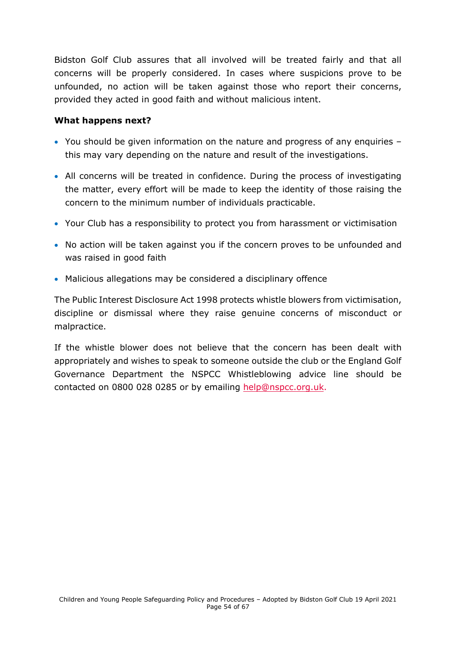Bidston Golf Club assures that all involved will be treated fairly and that all concerns will be properly considered. In cases where suspicions prove to be unfounded, no action will be taken against those who report their concerns, provided they acted in good faith and without malicious intent.

#### **What happens next?**

- You should be given information on the nature and progress of any enquiries this may vary depending on the nature and result of the investigations.
- All concerns will be treated in confidence. During the process of investigating the matter, every effort will be made to keep the identity of those raising the concern to the minimum number of individuals practicable.
- Your Club has a responsibility to protect you from harassment or victimisation
- No action will be taken against you if the concern proves to be unfounded and was raised in good faith
- Malicious allegations may be considered a disciplinary offence

The Public Interest Disclosure Act 1998 protects whistle blowers from victimisation, discipline or dismissal where they raise genuine concerns of misconduct or malpractice.

<span id="page-53-0"></span>If the whistle blower does not believe that the concern has been dealt with appropriately and wishes to speak to someone outside the club or the England Golf Governance Department the NSPCC Whistleblowing advice line should be contacted on 0800 028 0285 or by emailing [help@nspcc.org.uk.](mailto:help@nspcc.org.uk)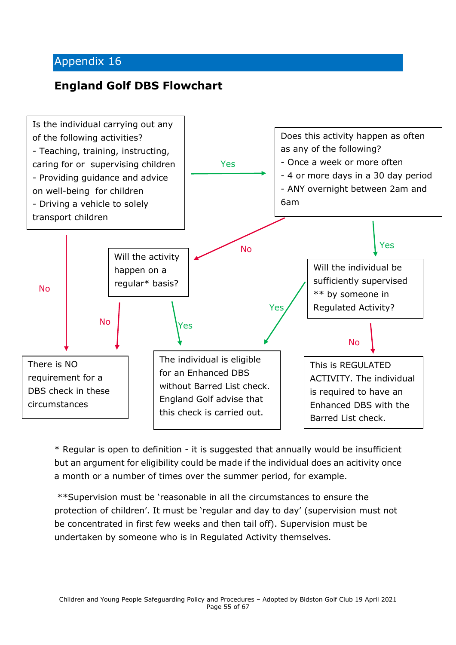# **England Golf DBS Flowchart**



\* Regular is open to definition - it is suggested that annually would be insufficient but an argument for eligibility could be made if the individual does an acitivity once a month or a number of times over the summer period, for example.

\*\*Supervision must be 'reasonable in all the circumstances to ensure the protection of children'. It must be 'regular and day to day' (supervision must not be concentrated in first few weeks and then tail off). Supervision must be undertaken by someone who is in Regulated Activity themselves.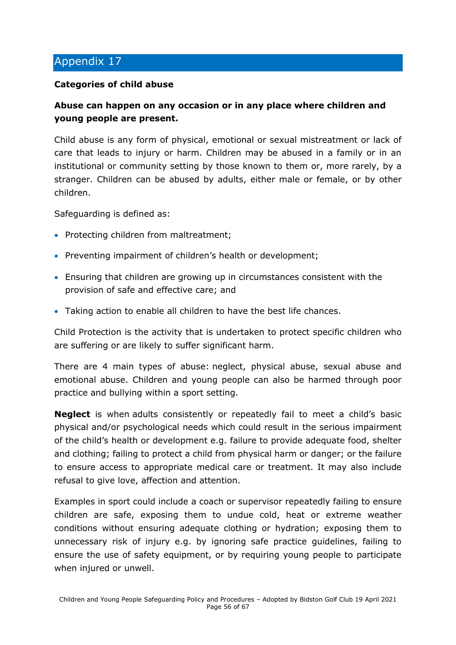#### **Categories of child abuse**

# **Abuse can happen on any occasion or in any place where children and young people are present.**

Child abuse is any form of physical, emotional or sexual mistreatment or lack of care that leads to injury or harm. Children may be abused in a family or in an institutional or community setting by those known to them or, more rarely, by a stranger. Children can be abused by adults, either male or female, or by other children.

Safeguarding is defined as:

- Protecting children from maltreatment;
- Preventing impairment of children's health or development;
- Ensuring that children are growing up in circumstances consistent with the provision of safe and effective care; and
- Taking action to enable all children to have the best life chances.

Child Protection is the activity that is undertaken to protect specific children who are suffering or are likely to suffer significant harm.

There are 4 main types of abuse: neglect, physical abuse, sexual abuse and emotional abuse. Children and young people can also be harmed through poor practice and bullying within a sport setting.

**Neglect** is when adults consistently or repeatedly fail to meet a child's basic physical and/or psychological needs which could result in the serious impairment of the child's health or development e.g. failure to provide adequate food, shelter and clothing; failing to protect a child from physical harm or danger; or the failure to ensure access to appropriate medical care or treatment. It may also include refusal to give love, affection and attention.

Examples in sport could include a coach or supervisor repeatedly failing to ensure children are safe, exposing them to undue cold, heat or extreme weather conditions without ensuring adequate clothing or hydration; exposing them to unnecessary risk of injury e.g. by ignoring safe practice guidelines, failing to ensure the use of safety equipment, or by requiring young people to participate when injured or unwell.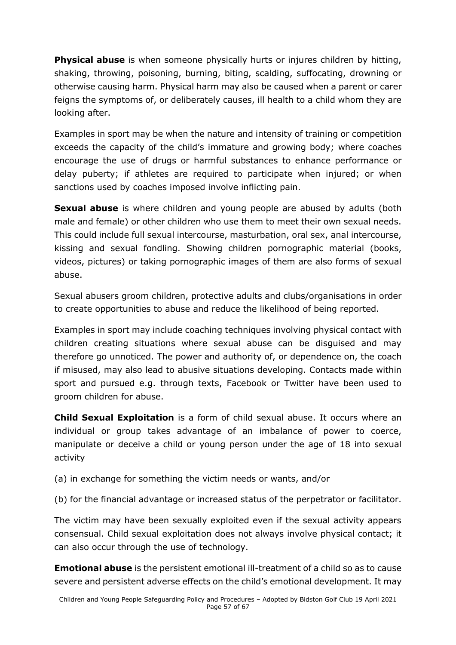**Physical abuse** is when someone physically hurts or injures children by hitting, shaking, throwing, poisoning, burning, biting, scalding, suffocating, drowning or otherwise causing harm. Physical harm may also be caused when a parent or carer feigns the symptoms of, or deliberately causes, ill health to a child whom they are looking after.

Examples in sport may be when the nature and intensity of training or competition exceeds the capacity of the child's immature and growing body; where coaches encourage the use of drugs or harmful substances to enhance performance or delay puberty; if athletes are required to participate when injured; or when sanctions used by coaches imposed involve inflicting pain.

**Sexual abuse** is where children and young people are abused by adults (both male and female) or other children who use them to meet their own sexual needs. This could include full sexual intercourse, masturbation, oral sex, anal intercourse, kissing and sexual fondling. Showing children pornographic material (books, videos, pictures) or taking pornographic images of them are also forms of sexual abuse.

Sexual abusers groom children, protective adults and clubs/organisations in order to create opportunities to abuse and reduce the likelihood of being reported.

Examples in sport may include coaching techniques involving physical contact with children creating situations where sexual abuse can be disguised and may therefore go unnoticed. The power and authority of, or dependence on, the coach if misused, may also lead to abusive situations developing. Contacts made within sport and pursued e.g. through texts, Facebook or Twitter have been used to groom children for abuse.

**Child Sexual Exploitation** is a form of child sexual abuse. It occurs where an individual or group takes advantage of an imbalance of power to coerce, manipulate or deceive a child or young person under the age of 18 into sexual activity

- (a) in exchange for something the victim needs or wants, and/or
- (b) for the financial advantage or increased status of the perpetrator or facilitator.

The victim may have been sexually exploited even if the sexual activity appears consensual. Child sexual exploitation does not always involve physical contact; it can also occur through the use of technology.

**Emotional abuse** is the persistent emotional ill-treatment of a child so as to cause severe and persistent adverse effects on the child's emotional development. It may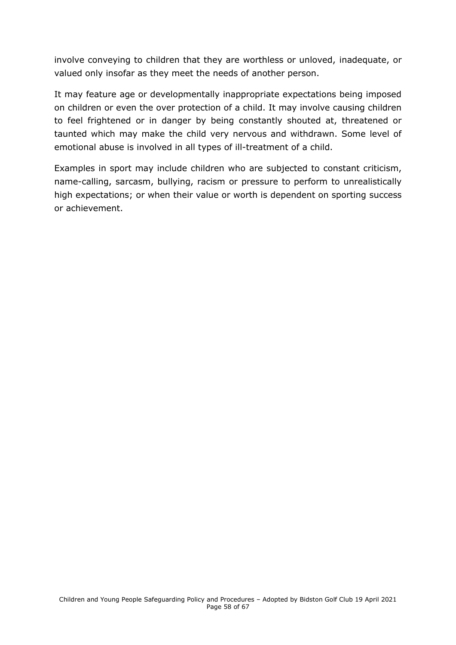involve conveying to children that they are worthless or unloved, inadequate, or valued only insofar as they meet the needs of another person.

It may feature age or developmentally inappropriate expectations being imposed on children or even the over protection of a child. It may involve causing children to feel frightened or in danger by being constantly shouted at, threatened or taunted which may make the child very nervous and withdrawn. Some level of emotional abuse is involved in all types of ill-treatment of a child.

<span id="page-57-0"></span>Examples in sport may include children who are subjected to constant criticism, name-calling, sarcasm, bullying, racism or pressure to perform to unrealistically high expectations; or when their value or worth is dependent on sporting success or achievement.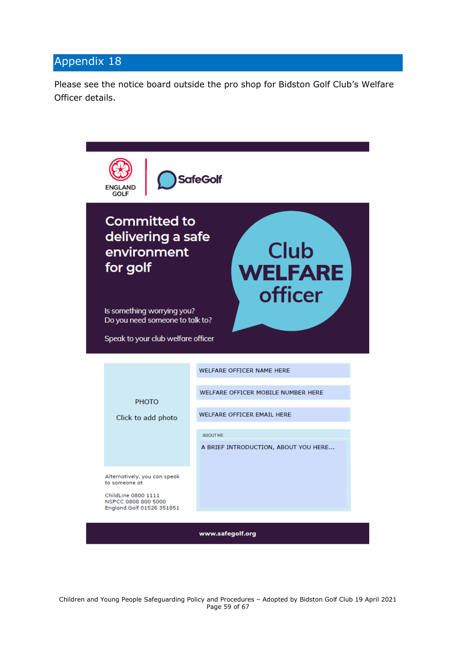Please see the notice board outside the pro shop for Bidston Golf Club's Welfare Officer details.

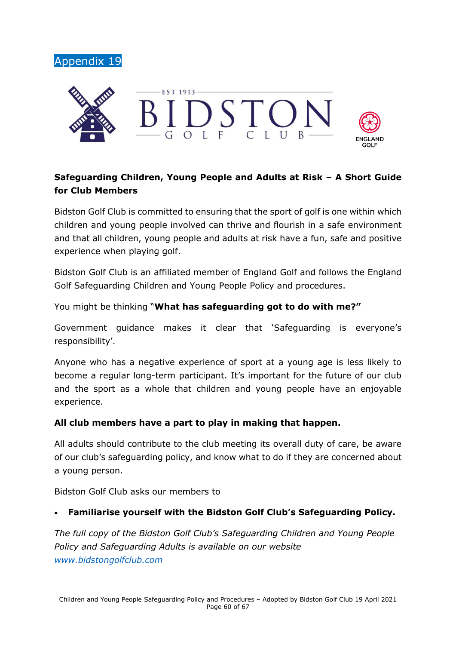<span id="page-59-0"></span>



# **Safeguarding Children, Young People and Adults at Risk – A Short Guide for Club Members**

Bidston Golf Club is committed to ensuring that the sport of golf is one within which children and young people involved can thrive and flourish in a safe environment and that all children, young people and adults at risk have a fun, safe and positive experience when playing golf.

Bidston Golf Club is an affiliated member of England Golf and follows the England Golf Safeguarding Children and Young People Policy and procedures.

You might be thinking "**What has safeguarding got to do with me?"**

Government guidance makes it clear that 'Safeguarding is everyone's responsibility'.

Anyone who has a negative experience of sport at a young age is less likely to become a regular long-term participant. It's important for the future of our club and the sport as a whole that children and young people have an enjoyable experience.

#### **All club members have a part to play in making that happen.**

All adults should contribute to the club meeting its overall duty of care, be aware of our club's safeguarding policy, and know what to do if they are concerned about a young person.

Bidston Golf Club asks our members to

### • **Familiarise yourself with the Bidston Golf Club's Safeguarding Policy.**

*The full copy of the Bidston Golf Club's Safeguarding Children and Young People Policy and Safeguarding Adults is available on our website [www.bidstongolfclub.com](http://www.bidstongolfclub.com/)*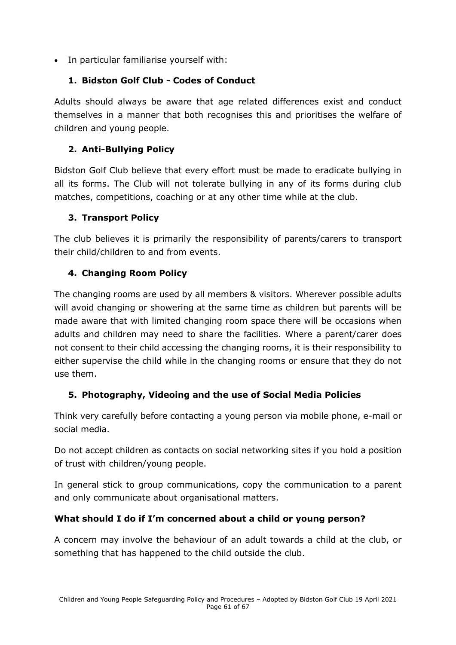• In particular familiarise yourself with:

# **1. Bidston Golf Club - Codes of Conduct**

Adults should always be aware that age related differences exist and conduct themselves in a manner that both recognises this and prioritises the welfare of children and young people.

# **2. Anti-Bullying Policy**

Bidston Golf Club believe that every effort must be made to eradicate bullying in all its forms. The Club will not tolerate bullying in any of its forms during club matches, competitions, coaching or at any other time while at the club.

# **3. Transport Policy**

The club believes it is primarily the responsibility of parents/carers to transport their child/children to and from events.

# **4. Changing Room Policy**

The changing rooms are used by all members & visitors. Wherever possible adults will avoid changing or showering at the same time as children but parents will be made aware that with limited changing room space there will be occasions when adults and children may need to share the facilities. Where a parent/carer does not consent to their child accessing the changing rooms, it is their responsibility to either supervise the child while in the changing rooms or ensure that they do not use them.

# **5. Photography, Videoing and the use of Social Media Policies**

Think very carefully before contacting a young person via mobile phone, e-mail or social media.

Do not accept children as contacts on social networking sites if you hold a position of trust with children/young people.

In general stick to group communications, copy the communication to a parent and only communicate about organisational matters.

# **What should I do if I'm concerned about a child or young person?**

A concern may involve the behaviour of an adult towards a child at the club, or something that has happened to the child outside the club.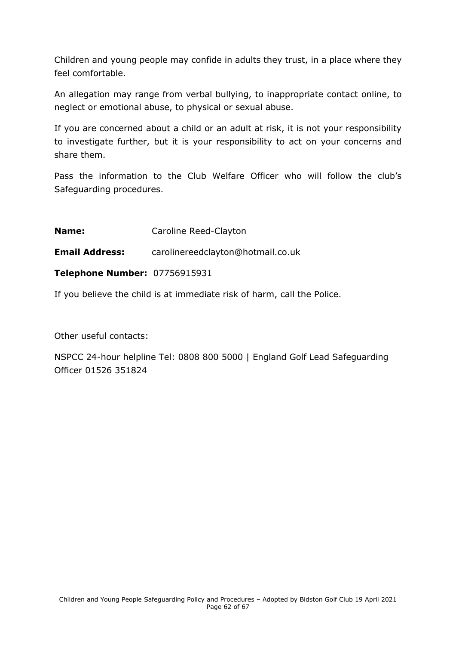Children and young people may confide in adults they trust, in a place where they feel comfortable.

An allegation may range from verbal bullying, to inappropriate contact online, to neglect or emotional abuse, to physical or sexual abuse.

If you are concerned about a child or an adult at risk, it is not your responsibility to investigate further, but it is your responsibility to act on your concerns and share them.

Pass the information to the Club Welfare Officer who will follow the club's Safeguarding procedures.

**Name:** Caroline Reed-Clayton

**Email Address:** carolinereedclayton@hotmail.co.uk

**Telephone Number:** 07756915931

If you believe the child is at immediate risk of harm, call the Police.

Other useful contacts:

NSPCC 24-hour helpline Tel: 0808 800 5000 | England Golf Lead Safeguarding Officer 01526 351824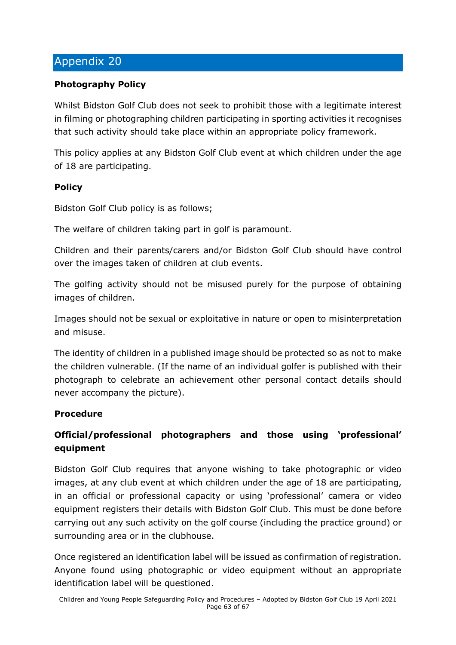## <span id="page-62-0"></span>**Photography Policy**

Whilst Bidston Golf Club does not seek to prohibit those with a legitimate interest in filming or photographing children participating in sporting activities it recognises that such activity should take place within an appropriate policy framework.

This policy applies at any Bidston Golf Club event at which children under the age of 18 are participating.

### **Policy**

Bidston Golf Club policy is as follows;

The welfare of children taking part in golf is paramount.

Children and their parents/carers and/or Bidston Golf Club should have control over the images taken of children at club events.

The golfing activity should not be misused purely for the purpose of obtaining images of children.

Images should not be sexual or exploitative in nature or open to misinterpretation and misuse.

The identity of children in a published image should be protected so as not to make the children vulnerable. (If the name of an individual golfer is published with their photograph to celebrate an achievement other personal contact details should never accompany the picture).

### **Procedure**

# **Official/professional photographers and those using 'professional' equipment**

Bidston Golf Club requires that anyone wishing to take photographic or video images, at any club event at which children under the age of 18 are participating, in an official or professional capacity or using 'professional' camera or video equipment registers their details with Bidston Golf Club. This must be done before carrying out any such activity on the golf course (including the practice ground) or surrounding area or in the clubhouse.

Once registered an identification label will be issued as confirmation of registration. Anyone found using photographic or video equipment without an appropriate identification label will be questioned.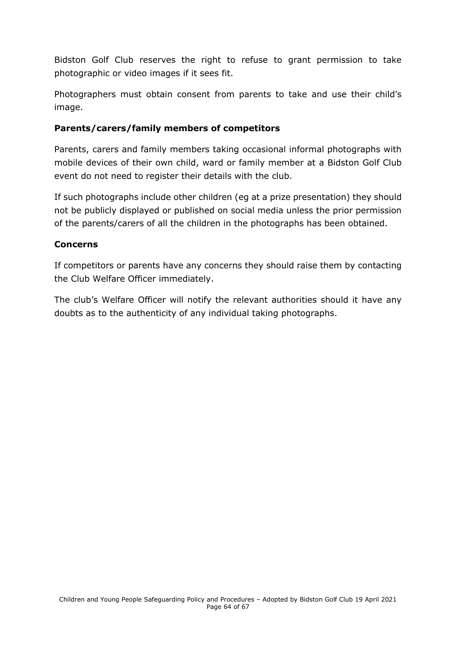Bidston Golf Club reserves the right to refuse to grant permission to take photographic or video images if it sees fit.

Photographers must obtain consent from parents to take and use their child's image.

### **Parents/carers/family members of competitors**

Parents, carers and family members taking occasional informal photographs with mobile devices of their own child, ward or family member at a Bidston Golf Club event do not need to register their details with the club.

If such photographs include other children (eg at a prize presentation) they should not be publicly displayed or published on social media unless the prior permission of the parents/carers of all the children in the photographs has been obtained.

### **Concerns**

If competitors or parents have any concerns they should raise them by contacting the Club Welfare Officer immediately.

The club's Welfare Officer will notify the relevant authorities should it have any doubts as to the authenticity of any individual taking photographs.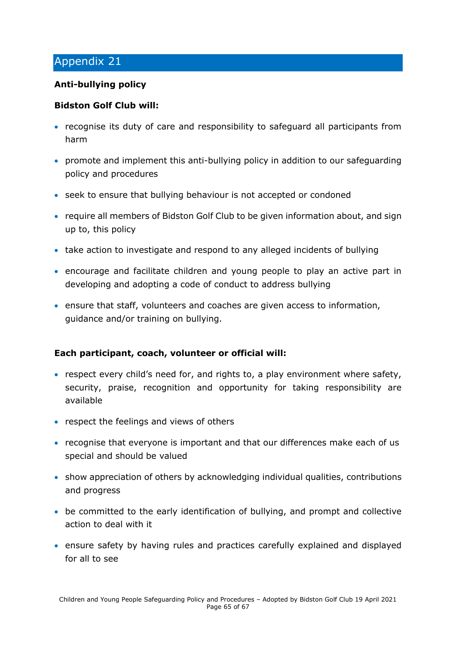## <span id="page-64-0"></span>**Anti-bullying policy**

### **Bidston Golf Club will:**

- recognise its duty of care and responsibility to safeguard all participants from harm
- promote and implement this anti-bullying policy in addition to our safeguarding policy and procedures
- seek to ensure that bullying behaviour is not accepted or condoned
- require all members of Bidston Golf Club to be given information about, and sign up to, this policy
- take action to investigate and respond to any alleged incidents of bullying
- encourage and facilitate children and young people to play an active part in developing and adopting a code of conduct to address bullying
- ensure that staff, volunteers and coaches are given access to information, guidance and/or training on bullying.

### **Each participant, coach, volunteer or official will:**

- respect every child's need for, and rights to, a play environment where safety, security, praise, recognition and opportunity for taking responsibility are available
- respect the feelings and views of others
- recognise that everyone is important and that our differences make each of us special and should be valued
- show appreciation of others by acknowledging individual qualities, contributions and progress
- be committed to the early identification of bullying, and prompt and collective action to deal with it
- ensure safety by having rules and practices carefully explained and displayed for all to see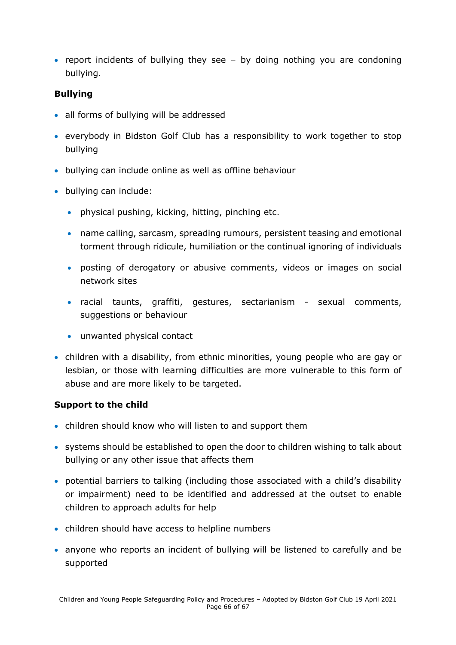• report incidents of bullying they see – by doing nothing you are condoning bullying.

### **Bullying**

- all forms of bullying will be addressed
- everybody in Bidston Golf Club has a responsibility to work together to stop bullying
- bullying can include online as well as offline behaviour
- bullying can include:
	- physical pushing, kicking, hitting, pinching etc.
	- name calling, sarcasm, spreading rumours, persistent teasing and emotional torment through ridicule, humiliation or the continual ignoring of individuals
	- posting of derogatory or abusive comments, videos or images on social network sites
	- racial taunts, graffiti, gestures, sectarianism sexual comments, suggestions or behaviour
	- unwanted physical contact
- children with a disability, from ethnic minorities, young people who are gay or lesbian, or those with learning difficulties are more vulnerable to this form of abuse and are more likely to be targeted.

### **Support to the child**

- children should know who will listen to and support them
- systems should be established to open the door to children wishing to talk about bullying or any other issue that affects them
- potential barriers to talking (including those associated with a child's disability or impairment) need to be identified and addressed at the outset to enable children to approach adults for help
- children should have access to helpline numbers
- anyone who reports an incident of bullying will be listened to carefully and be supported